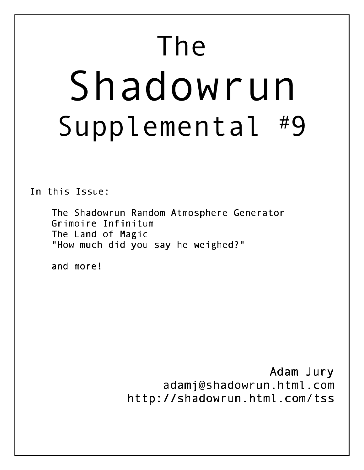# The Shadowrun Supplemental #9

In this Issue:

The Shadowrun Random Atmosphere Generator Grimoire Infinitum The Land of Magic "How much did you say he weighed?"

and more!

Adam Jury adamj@shadowrun.html.com http://shadowrun.html.com/tss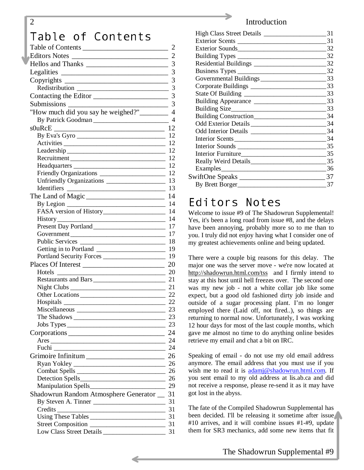# Table of Contents

| Table of Contents                                  | $\overline{2}$  |
|----------------------------------------------------|-----------------|
|                                                    |                 |
|                                                    | 3               |
|                                                    |                 |
|                                                    | 3               |
|                                                    | $\overline{3}$  |
|                                                    | 3               |
|                                                    |                 |
| "How much did you say he weighed?" ________ 4      |                 |
| By Patrick Goodman                                 | $\overline{4}$  |
|                                                    |                 |
| By Eva's Gyro                                      |                 |
| Activities 12                                      |                 |
|                                                    |                 |
|                                                    |                 |
|                                                    | 12              |
|                                                    |                 |
| Unfriendly Organizations _____________________     | 13              |
|                                                    | 13              |
|                                                    |                 |
|                                                    |                 |
|                                                    | 14              |
| <u> 1989 - Johann John Stein, fransk politik (</u> | 14              |
|                                                    | 17              |
|                                                    | 17              |
|                                                    | 18              |
|                                                    | 19<br>19        |
| Portland Security Forces                           |                 |
| Places Of Interest                                 | 20              |
| Hotels<br>Restaurants and Bars                     | <b>20</b><br>21 |
|                                                    |                 |
| Other Locations 22                                 |                 |
| Hospitals 22                                       |                 |
| Miscellaneous                                      | 23              |
|                                                    |                 |
|                                                    |                 |
|                                                    | 24              |
|                                                    |                 |
|                                                    |                 |
|                                                    |                 |
|                                                    |                 |
|                                                    |                 |
|                                                    |                 |
|                                                    |                 |
| Shadowrun Random Atmosphere Generator __ 31        |                 |
|                                                    |                 |
|                                                    | 31              |
|                                                    |                 |
|                                                    |                 |
|                                                    |                 |

#### 2 Introduction

|                 | 31 |
|-----------------|----|
|                 | 31 |
|                 | 32 |
|                 | 32 |
|                 | 32 |
|                 | 32 |
|                 | 33 |
|                 | 33 |
|                 | 33 |
|                 | 33 |
|                 | 33 |
|                 | 34 |
|                 | 34 |
|                 | 34 |
| Interior Scents | 34 |
| Interior Sounds | 35 |
|                 | 35 |
|                 | 35 |
|                 | 36 |
| SwiftOne Speaks | 37 |
| By Brett Borger | 37 |
|                 |    |

# Editors Notes

Welcome to issue #9 of The Shadowrun Supplemental! Yes, it's been a long road from issue #8, and the delays have been annoying, probably more so to me than to you. I truly did not enjoy having what I consider one of my greatest achievements online and being updated.

There were a couple big reasons for this delay. The major one was the server move - we're now located at <http://shadowrun.html.com/tss>and I firmly intend to stay at this host until hell freezes over. The second one was my new job - not a white collar job like some expect, but a good old fashioned dirty job inside and outside of a sugar processing plant. I'm no longer employed there (Laid off, not fired..), so things are returning to normal now. Unfortunately, I was working 12 hour days for most of the last couple months, which gave me almost no time to do anything online besides retrieve my email and chat a bit on IRC.

Speaking of email - do not use my old email address anymore. The email address that you must use if you wish me to read it is [adamj@shadowrun.html.com.](mailto:adamj@shadowrun.html.com) If you sent email to my old address at lis.ab.ca and did not receive a response, please re-send it as it may have got lost in the abyss.

The fate of the Compiled Shadowrun Supplemental has been decided. I'll be releasing it sometime after issue #10 arrives, and it will combine issues #1-#9, update them for SR3 mechanics, add some new items that fit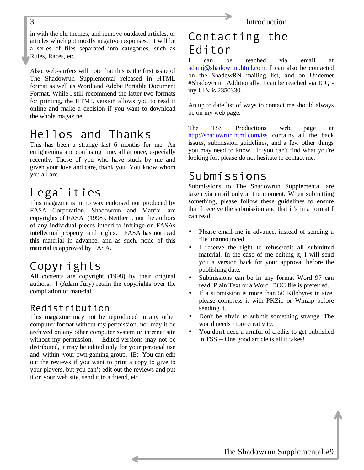in with the old themes, and remove outdated articles, or articles which got mostly negative responses. It will be a series of files separated into categories, such as Rules, Races, etc.

Also, web-surfers will note that this is the first issue of The Shadowrun Supplemental released in HTML format as well as Word and Adobe Portable Document Format. While I still recommend the latter two formats for printing, the HTML version allows you to read it online and make a decision if you want to download the whole magazine.

# Hellos and Thanks

This has been a strange last 6 months for me. An enlightening and confusing time, all at once, especially recently. Those of you who have stuck by me and given your love and care, thank you. You know whom you all are.

# Legalities

This magazine is in no way endorsed nor produced by FASA Corporation. Shadowrun and Matrix, are copyrights of FASA (1998). Neither I, nor the authors of any individual pieces intend to infringe on FASAs intellectual property and rights. FASA has not read this material in advance, and as such, none of this material is approved by FASA.

# Copyrights

All contents are copyright (1998) by their original authors. I (Adam Jury) retain the copyrights over the compilation of material.

# Redistribution

This magazine may not be reproduced in any other computer format without my permission, nor may it be archived on any other computer system or internet site without my permission. Edited versions may not be distributed, it may be edited only for your personal use and within your own gaming group. IE: You can edit out the reviews if you want to print a copy to give to your players, but you can't edit out the reviews and put it on your web site, send it to a friend, etc.

# Contacting the Editor

I can be reached via email at [adamj@shadowrun.html.com.](mailto:adamj@shadowrun.html.com) I can also be contacted on the ShadowRN mailing list, and on Undernet #Shadowrun. Additionally, I can be reached via ICQ my UIN is 2350330.

An up to date list of ways to contact me should always be on my web page.

The TSS Productions web page at <http://shadowrun.html.com/tss>contains all the back issues, submission guidelines, and a few other things you may need to know. If you can't find what you're looking for, please do not hesitate to contact me.

# Submissions

Submissions to The Shadowrun Supplemental are taken via email only at the moment. When submitting something, please follow these guidelines to ensure that I receive the submission and that it's in a format I can read.

- Please email me in advance, instead of sending a file unannounced.
- I reserve the right to refuse/edit all submitted material. In the case of me editing it, I will send you a version back for your approval before the publishing date.
- Submissions can be in any format Word 97 can read. Plain Text or a Word .DOC file is preferred.
- If a submission is more than 50 Kilobytes in size, please compress it with PKZip or Winzip before sending it.
- Don't be afraid to submit something strange. The world needs more creativity.
- You don't need a armful of credits to get published in TSS -- One good article is all it takes!

<span id="page-2-0"></span>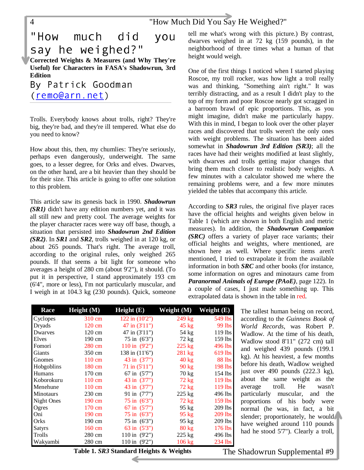# <span id="page-3-0"></span>"How much did you say he weighed?" **Corrected Weights & Measures (and Why They're Useful) for Characters in FASA's Shadowrun, 3rd**

**Edition** By Patrick Goodman (remo@arn.net)

Trolls. Everybody knows about trolls, right? They're big, they're bad, and they're ill tempered. What else do you need to know?

How about this, then, my chumlies: They're seriously, perhaps even dangerously, underweight. The same goes, to a lesser degree, for Orks and elves. Dwarves, on the other hand, are a bit heavier than they should be for their size. This article is going to offer one solution to this problem.

This article saw its genesis back in 1990. *Shadowrun (SR1)* didn't have any edition numbers yet, and it was all still new and pretty cool. The average weights for the player character races were way off base, though, a situation that persisted into *Shadowrun 2nd Edition (SR2)*. In *SR1* and *SR2*, trolls weighed in at 120 kg, or about 265 pounds. That's right. The average troll, according to the original rules, only weighed 265 pounds. If that seems a bit light for someone who averages a height of 280 cm (about 9'2"), it should. (To put it in perspective, I stand approximately 193 cm (6'4", more or less), I'm not particularly muscular, and I weigh in at 104.3 kg (230 pounds). Quick, someone

tell me what's wrong with this picture.) By contrast, dwarves weighed in at 72 kg (159 pounds), in the neighborhood of three times what a human of that height would weigh.

One of the first things I noticed when I started playing Roscoe, my troll rocker, was how light a troll really was and thinking, "Something ain't right." It was terribly distracting, and as a result I didn't play to the top of my form and poor Roscoe nearly got scragged in a barroom brawl of epic proportions. This, as you might imagine, didn't make me particularly happy. With this in mind, I began to look over the other player races and discovered that trolls weren't the only ones with weight problems. The situation has been aided somewhat in *Shadowrun 3rd Edition (SR3)*; all the races have had their weights modified at least slightly, with dwarves and trolls getting major changes that bring them much closer to realistic body weights. A few minutes with a calculator showed me where the remaining problems were, and a few more minutes yielded the tables that accompany this article.

According to *SR3* rules, the original five player races have the official heights and weights given below in Table 1 (which are shown in both English and metric measures). In addition, the *Shadowrun Companion (SRC)* offers a variety of player race variants; their official heights and weights, where mentioned, are shown here as well. Where specific items aren't mentioned, I tried to extrapolate it from the available information in both *SRC* and other books (for instance, some information on ogres and minotaurs came from *Paranormal Animals of Europe (PAoE)*, page 122). In a couple of cases, I just made something up. This extrapolated data is shown in the table in red.

> The tallest human being on record, according to the *Guinness Book of World Records*, was Robert P. Wadlow. At the time of his death, Wadlow stood 8'11" (272 cm) tall and weighed 439 pounds (199.1 kg). At his heaviest, a few months before his death, Wadlow weighed just over 490 pounds (222.3 kg), about the same weight as the average troll. He wasn't particularly muscular, and the proportions of his body were normal (he was, in fact, a bit slender; proportionately, he would have weighed around 110 pounds had he stood 5'7"). Clearly a troll,

| <b>Race</b>   | Height (M)       | Height(E)                 | Weight (M)       | Weight (E)    |
|---------------|------------------|---------------------------|------------------|---------------|
| Cyclopes      | 310 cm           | $122$ in $(10'2'')$       | 249 kg           | 549 lbs       |
| Dryads        | 120 cm           | 47 in (3'11")             | $45$ kg          | 99 lbs        |
| Dwarves       | 120 cm           | 47 in (3'11")             | 54 kg            | 119 lbs       |
| Elves         | 190 cm           | $75$ in $(6'3'')$         | $72$ kg          | 159 lbs       |
| Fomori        | 280 cm           | $110 \text{ in } (9'2'')$ | $225$ kg         | 496 lbs       |
| Giants        | 350 cm           | 138 in (11'6")            | $281 \text{ kg}$ | $619$ lbs     |
| Gnomes        | $110 \text{ cm}$ | 43 in (3'7")              | $40 \text{ kg}$  | <b>88 lbs</b> |
| Hobgoblins    | 180 cm           | $71$ in $(5'11'')$        | $90 \text{ kg}$  | 198 lbs       |
| <b>Humans</b> | 170 cm           | $67$ in $(5'7'')$         | $70 \text{ kg}$  | 154 lbs       |
| Koborokuru    | $110 \text{ cm}$ | 43 in (3'7")              | $72 \text{ kg}$  | $119$ lbs     |
| Menehune      | $110 \text{ cm}$ | 43 in (3'7")              | $72$ kg          | $119$ lbs     |
| Minotaurs     | 230 cm           | 91 in (7'7")              | $225 \text{ kg}$ | 496 lbs       |
| Night Ones    | 190 cm           | $75 \text{ in } (6'3'')$  | $72 \text{ kg}$  | 159 lbs       |
| Ogres         | 170 cm           | 67 in (5'7")              | $95 \text{ kg}$  | 209 lbs       |
| Oni           | 190 cm           | $75 \text{ in } (6'3'')$  | $95 \text{ kg}$  | 209 lbs       |
| Orks          | 190 cm           | 75 in (6'3")              | $95$ kg          | 209 lbs       |
| <b>Satyrs</b> | 160 cm           | 63 in (5'3")              | $80 \text{ kg}$  | $176$ lbs     |
| Trolls        | 280 cm           | 110 in $(9'2'')$          | 225 kg           | 496 lbs       |
| Wakyambi      | 280 cm           | 110 in (9'2")             | 106 kg           | 234 lbs       |

**Table 1.** *SR3* **Standard Heights & Weights**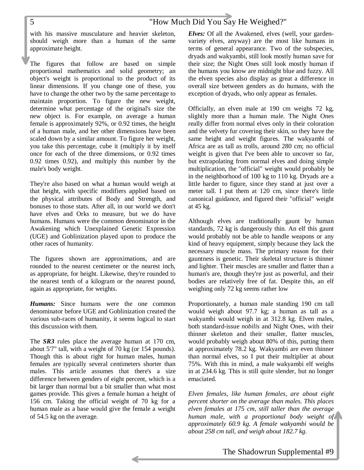with his massive musculature and heavier skeleton, should weigh more than a human of the same approximate height.

The figures that follow are based on simple proportional mathematics and solid geometry; an object's weight is proportional to the product of its linear dimensions. If you change one of these, you have to change the other two by the same percentage to maintain proportion. To figure the new weight, determine what percentage of the original's size the new object is. For example, on average a human female is approximately 92%, or 0.92 times, the height of a human male, and her other dimensions have been scaled down by a similar amount. To figure her weight, you take this percentage, cube it (multiply it by itself once for each of the three dimensions, or 0.92 times 0.92 times 0.92), and multiply this number by the male's body weight.

They're also based on what a human would weigh at that height, with specific modifiers applied based on the physical attributes of Body and Strength, and bonuses to those stats. After all, in our world we don't have elves and Orks to measure, but we do have humans. Humans were the common denominator in the Awakening which Unexplained Genetic Expression (UGE) and Goblinization played upon to produce the other races of humanity.

The figures shown are approximations, and are rounded to the nearest centimeter or the nearest inch, as appropriate, for height. Likewise, they're rounded to the nearest tenth of a kilogram or the nearest pound, again as appropriate, for weights.

*Humans:* Since humans were the one common denominator before UGE and Goblinization created the various sub-races of humanity, it seems logical to start this discussion with them.

The *SR3* rules place the average human at 170 cm, about 5'7" tall, with a weight of 70 kg (or 154 pounds). Though this is about right for human males, human females are typically several centimeters shorter than males. This article assumes that there's a size difference between genders of eight percent, which is a bit larger than normal but a bit smaller than what most games provide. This gives a female human a height of 156 cm. Taking the official weight of 70 kg for a human male as a base would give the female a weight of 54.5 kg on the average.

*Elves:* Of all the Awakened, elves (well, your gardenvariety elves, anyway) are the most like humans in terms of general appearance. Two of the subspecies, dryads and wakyambi, still look mostly human save for their size; the Night Ones still look mostly human if the humans you know are midnight blue and fuzzy. All the elven species also display as great a difference in overall size between genders as do humans, with the exception of dryads, who only appear as females.

Officially, an elven male at 190 cm weighs 72 kg, slightly more than a human male. The Night Ones really differ from normal elves only in their coloration and the velvety fur covering their skin, so they have the same height and weight figures. The wakyambi of Africa are as tall as trolls, around 280 cm; no official weight is given that I've been able to uncover so far, but extrapolating from normal elves and doing simple multiplication, the "official" weight would probably be in the neighborhood of 100 kg to 110 kg. Dryads are a little harder to figure, since they stand at just over a meter tall. I put them at 120 cm, since there's little canonical guidance, and figured their "official" weight at 45 kg.

Although elves are traditionally gaunt by human standards, 72 kg is dangerously thin. An elf this gaunt would probably not be able to handle weapons or any kind of heavy equipment, simply because they lack the necessary muscle mass. The primary reason for their gauntness is genetic. Their skeletal structure is thinner and lighter. Their muscles are smaller and flatter than a human's are, though they're just as powerful, and their bodies are relatively free of fat. Despite this, an elf weighing only 72 kg seems rather low

Proportionately, a human male standing 190 cm tall would weigh about 97.7 kg; a human as tall as a wakyambi would weigh in at 312.8 kg. Elven males, both standard-issue *nobilis* and Night Ones, with their thinner skeleton and their smaller, flatter muscles, would probably weigh about 80% of this, putting them at approximately 78.2 kg. Wakyambi are even thinner than normal elves, so I put their multiplier at about 75%. With this in mind, a male wakyambi elf weighs in at 234.6 kg. This is still quite slender, but no longer emaciated.

*Elven females, like human females, are about eight percent shorter on the average than males. This places elven females at 175 cm, still taller than the average human male, with a proportional body weight of approximately 60.9 kg. A female wakyambi would be about 258 cm tall, and weigh about 182.7 kg.*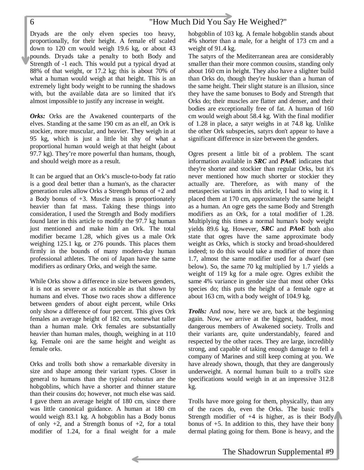Dryads are the only elven species too heavy, proportionally, for their height. A female elf scaled down to 120 cm would weigh 19.6 kg, or about 43 pounds. Dryads take a penalty to both Body and Strength of -1 each. This would put a typical dryad at 88% of that weight, or 17.2 kg; this is about 70% of what a human would weigh at that height. This is an extremely light body weight to be running the shadows with, but the available data are so limited that it's almost impossible to justify any increase in weight.

*Orks:* Orks are the Awakened counterparts of the elves. Standing at the same 190 cm as an elf, an Ork is stockier, more muscular, and heavier. They weigh in at 95 kg, which is just a little bit shy of what a proportional human would weigh at that height (about 97.7 kg). They're more powerful than humans, though, and should weigh more as a result.

It can be argued that an Ork's muscle-to-body fat ratio is a good deal better than a human's, as the character generation rules allow Orks a Strength bonus of +2 and a Body bonus of +3. Muscle mass is proportionately heavier than fat mass. Taking these things into consideration, I used the Strength and Body modifiers found later in this article to modify the 97.7 kg human just mentioned and make him an Ork. The total modifier became 1.28, which gives us a male Ork weighing 125.1 kg, or 276 pounds. This places them firmly in the bounds of many modern-day human professional athletes. The oni of Japan have the same modifiers as ordinary Orks, and weigh the same.

While Orks show a difference in size between genders, it is not as severe or as noticeable as that shown by humans and elves. Those two races show a difference between genders of about eight percent, while Orks only show a difference of four percent. This gives Ork females an average height of 182 cm, somewhat taller than a human male. Ork females are substantially heavier than human males, though, weighing in at 110 kg. Female oni are the same height and weight as female orks.

Orks and trolls both show a remarkable diversity in size and shape among their variant types. Closer in general to humans than the typical *robustus* are the hobgoblins, which have a shorter and thinner stature than their cousins do; however, not much else was said. I gave them an average height of 180 cm, since there was little canonical guidance. A human at 180 cm would weigh 83.1 kg. A hobgoblin has a Body bonus of only  $+2$ , and a Strength bonus of  $+2$ , for a total modifier of 1.24, for a final weight for a male hobgoblin of 103 kg. A female hobgoblin stands about 4% shorter than a male, for a height of 173 cm and a weight of 91.4 kg.

The satyrs of the Mediterranean area are considerably smaller than their more common cousins, standing only about 160 cm in height. They also have a slighter build than Orks do, though they're huskier than a human of the same height. Their slight stature is an illusion, since they have the same bonuses to Body and Strength that Orks do; their muscles are flatter and denser, and their bodies are exceptionally free of fat. A human of 160 cm would weigh about 58.4 kg. With the final modifier of 1.28 in place, a satyr weighs in at 74.8 kg. Unlike the other Ork subspecies, satyrs don't appear to have a significant difference in size between the genders.

Ogres present a little bit of a problem. The scant information available in *SRC* and *PAoE* indicates that they're shorter and stockier than regular Orks, but it's never mentioned how much shorter or stockier they actually are. Therefore, as with many of the metaspecies variants in this article, I had to wing it. I placed them at 170 cm, approximately the same height as a human. An ogre gets the same Body and Strength modifiers as an Ork, for a total modifier of 1.28. Multiplying this times a normal human's body weight yields 89.6 kg. However, *SRC* and *PAoE* both also state that ogres have the same approximate body weight as Orks, which is stocky and broad-shouldered indeed; to do this would take a modifier of more than 1.7, almost the same modifier used for a dwarf (see below). So, the same 70 kg multiplied by 1.7 yields a weight of 119 kg for a male ogre. Ogres exhibit the same 4% variance in gender size that most other Orks species do; this puts the height of a female ogre at about 163 cm, with a body weight of 104.9 kg.

*Trolls:* And now, here we are, back at the beginning again. Now, we arrive at the biggest, baddest, most dangerous members of Awakened society. Trolls and their variants are, quite understandably, feared and respected by the other races. They are large, incredibly strong, and capable of taking enough damage to fell a company of Marines and still keep coming at you. We have already shown, though, that they are dangerously underweight. A normal human built to a troll's size specifications would weigh in at an impressive 312.8 kg.

Trolls have more going for them, physically, than any of the races do, even the Orks. The basic troll's Strength modifier of  $+4$  is higher, as is their Body bonus of +5. In addition to this, they have their bony dermal plating going for them. Bone is heavy, and the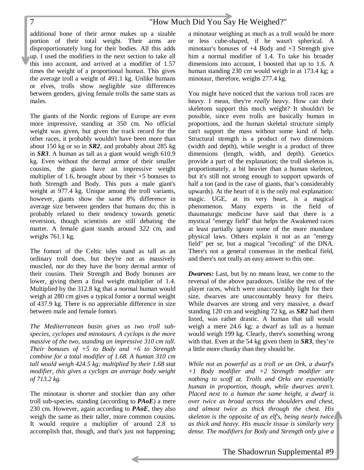additional bone of their armor makes up a sizable portion of their total weight. Their arms are disproportionately long for their bodies. All this adds up. I used the modifiers in the next section to take all this into account, and arrived at a modifier of 1.57 times the weight of a proportional human. This gives the average troll a weight of 491.1 kg. Unlike humans or elves, trolls show negligible size differences between genders, giving female trolls the same stats as males.

The giants of the Nordic regions of Europe are even more impressive, standing at 350 cm. No official weight was given, but given the track record for the other races, it probably wouldn't have been more than about 150 kg or so in *SR2*, and probably about 285 kg in *SR3*. A human as tall as a giant would weigh 610.9 kg. Even without the dermal armor of their smaller cousins, the giants have an impressive weight multiplier of 1.6, brought about by their  $+5$  bonuses to both Strength and Body. This puts a male giant's weight at 977.4 kg. Unique among the troll variants, however, giants show the same 8% difference in average size between genders that humans do; this is probably related to their tendency towards genetic reversion, though scientists are still debating the matter. A female giant stands around 322 cm, and weighs 761.1 kg.

The fomori of the Celtic isles stand as tall as an ordinary troll does, but they're not as massively muscled, nor do they have the bony dermal armor of their cousins. Their Strength and Body bonuses are lower, giving them a final weight multiplier of 1.4. Multiplied by the 312.8 kg that a normal human would weigh at 280 cm gives a typical fomor a normal weight of 437.9 kg. There is no appreciable difference in size between male and female fomori.

*The Mediterranean basin gives us two troll subspecies, cyclopes and minotaurs. A cyclops is the more massive of the two, standing an impressive 310 cm tall. Their bonuses of +5 to Body and +6 to Strength combine for a total modifier of 1.68. A human 310 cm tall would weigh 424.5 kg; multiplied by their 1.68 stat modifier, this gives a cyclops an average body weight of 713.2 kg.*

The minotaur is shorter and stockier than any other troll sub-species, standing (according to *PAoE*) a mere 230 cm. However, again according to *PAoE*, they also weigh the same as their taller, more common cousins. It would require a multiplier of around 2.8 to accomplish that, though, and that's just not happening; a minotaur weighing as much as a troll would be more or less cube-shaped, if he wasn't spherical. A minotaur's bonuses of +4 Body and +3 Strength give him a normal modifier of 1.4. To take his broader dimensions into account, I boosted that up to 1.6. A human standing 230 cm would weigh in at 173.4 kg; a minotaur, therefore, weighs 277.4 kg.

You might have noticed that the various troll races are heavy. I mean, they're *really* heavy. How can their skeletons support this much weight? It shouldn't be possible, since even trolls are basically human in proportions, and the human skeletal structure simply can't support the mass without some kind of help. Structural strength is a product of two dimensions (width and depth), while weight is a product of three dimensions (length, width, and depth). Genetics provide a part of the explanation; the troll skeleton is, proportionately, a bit heavier than a human skeleton, but it's still not strong enough to support upwards of half a ton (and in the case of giants, that's considerably upwards). At the heart of it is the only real explanation: magic. UGE, at its very heart, is a magical phenomenon. Many experts in the field of thaumaturgic medicine have said that there is a mystical "energy field" that helps the Awakened races at least partially ignore some of the more mundane physical laws. Others explain it not as an "energy field" per se, but a magical "recoding" of the DNA. There's not a general consensus in the medical field, and there's not really an easy answer to this one.

*Dwarves:* Last, but by no means least, we come to the reversal of the above paradoxes. Unlike the rest of the player races, which were unaccountably light for their size, dwarves are unaccountably heavy for theirs. While dwarves are strong and very massive, a dwarf standing 120 cm and weighing 72 kg, as *SR2* had them listed, was rather drastic. A human that tall would weigh a mere 24.6 kg; a dwarf as tall as a human would weigh 199 kg. Clearly, there's something wrong with that. Even at the 54 kg given them in *SR3*, they're a little more chunky than they should be.

*While not as powerful as a troll or an Ork, a dwarf's +1 Body modifier and +2 Strength modifier are nothing to scoff at. Trolls and Orks are essentially human in proportion, though, while dwarves aren't. Placed next to a human the same height, a dwarf is over twice as broad across the shoulders and chest, and almost twice as thick through the chest. His skeleton is the opposite of an elf's, being nearly twice as thick and heavy. His muscle tissue is similarly very dense. The modifiers for Body and Strength only give a*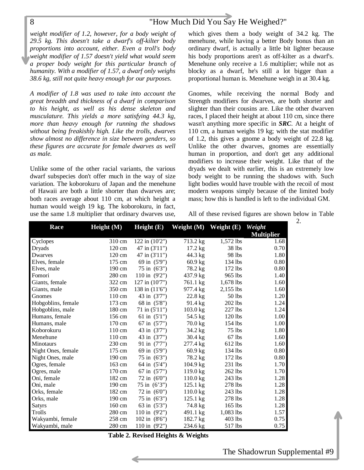*weight modifier of 1.2, however, for a body weight of 29.5 kg. This doesn't take a dwarf's off-kilter body proportions into account, either. Even a troll's body weight modifier of 1.57 doesn't yield what would seem a proper body weight for this particular branch of humanity. With a modifier of 1.57, a dwarf only weighs 38.6 kg, still not quite heavy enough for our purposes.*

*A modifier of 1.8 was used to take into account the great breadth and thickness of a dwarf in comparison to his height, as well as his dense skeleton and musculature. This yields a more satisfying 44.3 kg, more than heavy enough for running the shadows without being freakishly high. Like the trolls, dwarves show almost no difference in size between genders, so these figures are accurate for female dwarves as well as male.*

Unlike some of the other racial variants, the various dwarf subspecies don't offer much in the way of size variation. The koborokuru of Japan and the menehune of Hawaii are both a little shorter than dwarves are; both races average about 110 cm, at which height a human would weigh 19 kg. The koborokuru, in fact, use the same 1.8 multiplier that ordinary dwarves use, which gives them a body weight of 34.2 kg. The menehune, while having a better Body bonus than an ordinary dwarf, is actually a little bit lighter because his body proportions aren't as off-kilter as a dwarf's. Menehune only receive a 1.6 multiplier; while not as blocky as a dwarf, he's still a lot bigger than a proportional human is. Menehune weigh in at 30.4 kg.

Gnomes, while receiving the normal Body and Strength modifiers for dwarves, are both shorter and slighter than their cousins are. Like the other dwarven races, I placed their height at about 110 cm, since there wasn't anything more specific in *SRC*. At a height of 110 cm, a human weighs 19 kg; with the stat modifier of 1.2, this gives a gnome a body weight of 22.8 kg. Unlike the other dwarves, gnomes are essentially human in proportion, and don't get any additional modifiers to increase their weight. Like that of the dryads we dealt with earlier, this is an extremely low body weight to be running the shadows with. Such light bodies would have trouble with the recoil of most modern weapons simply because of the limited body mass; how this is handled is left to the individual GM.

All of these revised figures are shown below in Table

2.

| <b>Race</b>        | Height(M) | Height $(E)$             | Weight (M)         | Weight $(E)$ | Weight<br><b>Multiplier</b> |
|--------------------|-----------|--------------------------|--------------------|--------------|-----------------------------|
| Cyclopes           | 310 cm    | $122$ in $(10'2'')$      | 713.2 kg           | 1,572 lbs    | 1.68                        |
| <b>Dryads</b>      | 120 cm    | $47$ in $(3'11'')$       | $17.2 \text{ kg}$  | 38 lbs       | 0.70                        |
| Dwarves            | 120 cm    | 47 in (3'11")            | 44.3 kg            | 98 lbs       | 1.80                        |
| Elves, female      | 175 cm    | 69 in (5'9")             | $60.9$ kg          | $134$ lbs    | 0.80                        |
| Elves, male        | 190 cm    | 75 in (6'3")             | 78.2 kg            | 172 lbs      | 0.80                        |
| Fomori             | 280 cm    | 110 in $(9'2'')$         | 437.9 kg           | 965 lbs      | 1.40                        |
| Giants, female     | 322 cm    | 127 in (10'7")           | 761.1 kg           | 1,678 lbs    | 1.60                        |
| Giants, male       | 350 cm    | 138 in (11'6")           | 977.4 kg           | 2,155 lbs    | 1.60                        |
| Gnomes             | 110 cm    | 43 in (3'7")             | 22.8 kg            | 50 lbs       | 1.20                        |
| Hobgoblins, female | 173 cm    | 68 in (5'8")             | 91.4 kg            | 202 lbs      | 1.24                        |
| Hobgoblins, male   | 180 cm    | $71$ in $(5'11'')$       | 103.0 kg           | 227 lbs      | 1.24                        |
| Humans, female     | 156 cm    | 61 in $(5'1'')$          | 54.5 kg            | 120 lbs      | 1.00                        |
| Humans, male       | 170 cm    | 67 in (5'7")             | $70.0$ kg          | $154$ lbs    | 1.00                        |
| Koborokuru         | 110 cm    | 43 in (3'7")             | 34.2 kg            | 75 lbs       | 1.80                        |
| Menehune           | 110 cm    | 43 in (3'7")             | $30.4 \text{ kg}$  | $67$ lbs     | 1.60                        |
| Minotaurs          | 230 cm    | 91 in (7'7")             | 277.4 kg           | 612 lbs      | 1.60                        |
| Night Ones, female | 175 cm    | 69 in (5'9")             | $60.9$ kg          | 134 lbs      | 0.80                        |
| Night Ones, male   | 190 cm    | 75 in (6'3")             | 78.2 kg            | $172$ lbs    | 0.80                        |
| Ogres, female      | 163 cm    | 64 in (5'4")             | $104.9$ kg         | 231 lbs      | 1.70                        |
| Ogres, male        | 170 cm    | 67 in (5'7")             | $119.0 \text{ kg}$ | 262 lbs      | 1.70                        |
| Oni, female        | 182 cm    | 72 in (6'0")             | $110.0$ kg         | 243 lbs      | 1.28                        |
| Oni, male          | 190 cm    | $75 \text{ in } (6'3'')$ | $125.1 \text{ kg}$ | 278 lbs      | 1.28                        |
| Orks, female       | 182 cm    | $72$ in $(60")$          | $110.0$ kg         | 243 lbs      | 1.28                        |
| Orks, male         | 190 cm    | 75 in (6'3")             | $125.1 \text{ kg}$ | 278 lbs      | 1.28                        |
| <b>Satyrs</b>      | 160 cm    | 63 in (5'3")             | 74.8 kg            | 165 lbs      | 1.28                        |
| Trolls             | 280 cm    | 110 in (9'2")            | 491.1 kg           | 1,083 lbs    | 1.57                        |
| Wakyambi, female   | 258 cm    | 102 in (8'6")            | 182.7 kg           | 403 lbs      | 0.75                        |
| Wakyambi, male     | 280 cm    | 110 in $(9'2'')$         | 234.6 kg           | 517 lbs      | 0.75                        |

**Table 2. Revised Heights & Weights**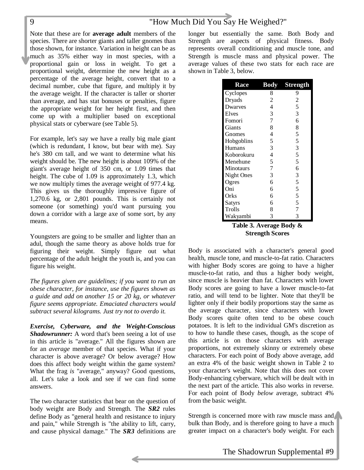Note that these are for **average adult** members of the species. There are shorter giants and taller gnomes than those shown, for instance. Variation in height can be as much as 35% either way in most species, with a proportional gain or loss in weight. To get a proportional weight, determine the new height as a percentage of the average height, convert that to a decimal number, cube that figure, and multiply it by the average weight. If the character is taller or shorter than average, and has stat bonuses or penalties, figure the appropriate weight for her height first, and then come up with a multiplier based on exceptional physical stats or cyberware (see Table 5).

For example, let's say we have a really big male giant (which is redundant, I know, but bear with me). Say he's 380 cm tall, and we want to determine what his weight should be. The new height is about 109% of the giant's average height of 350 cm, or 1.09 times that height. The cube of 1.09 is approximately 1.3, which we now multiply times the average weight of 977.4 kg. This gives us the thoroughly impressive figure of 1,270.6 kg, or 2,801 pounds. This is certainly not someone (or something) you'd want pursuing you down a corridor with a large axe of some sort, by any means.

Youngsters are going to be smaller and lighter than an adul, though the same theory as above holds true for figuring their weight. Simply figure out what percentage of the adult height the youth is, and you can figure his weight.

*The figures given are guidelines; if you want to run an obese character, for instance, use the figures shown as a guide and add on another 15 or 20 kg, or whatever figure seems appropriate. Emaciated characters would subtract several kilograms. Just try not to overdo it.*

*Exercise, Cyberware, and the Weight-Conscious Shadowrunner:* A word that's been seeing a lot of use in this article is "average." All the figures shown are for an *average* member of that species. What if your character is above average? Or below average? How does this affect body weight within the game system? What the frag *is* "average," anyway? Good questions, all. Let's take a look and see if we can find some answers.

The two character statistics that bear on the question of body weight are Body and Strength. The *SR2* rules define Body as "general health and resistance to injury and pain," while Strength is "the ability to lift, carry, and cause physical damage." The *SR3* definitions are

longer but essentially the same. Both Body and Strength are aspects of physical fitness. Body represents overall conditioning and muscle tone, and Strength is muscle mass and physical power. The average values of these two stats for each race are shown in Table 3, below.

| <b>Race</b> | <b>Body</b>    | <b>Strength</b> |
|-------------|----------------|-----------------|
| Cyclopes    | 8              | 9               |
| Dryads      | $\overline{c}$ | $\overline{c}$  |
| Dwarves     | $\overline{4}$ | 5               |
| Elves       | 3              | 3               |
| Fomori      | $\overline{7}$ | 6               |
| Giants      | 8              | 8               |
| Gnomes      | 4              | 5               |
| Hobgoblins  | 5              | 5               |
| Humans      | 3              | 3               |
| Koborokuru  | $\overline{4}$ | 5               |
| Menehune    | 5              | 5               |
| Minotaurs   | 7              | 6               |
| Night Ones  | 3              | 3               |
| Ogres       | 6              | 5               |
| Oni         | 6              | 5               |
| Orks        | 6              | 5               |
| Satyrs      | 6              | 5               |
| Trolls      | 8              | $\overline{7}$  |
| Wakyambi    | 3              | 3               |
| т. н. э     | ۸              | D.J<br>O.       |

**Table 3. Average Body & Strength Scores**

Body is associated with a character's general good health, muscle tone, and muscle-to-fat ratio. Characters with higher Body scores are going to have a higher muscle-to-fat ratio, and thus a higher body weight, since muscle is heavier than fat. Characters with lower Body scores are going to have a lower muscle-to-fat ratio, and will tend to be lighter. Note that they'll be lighter only if their bodily proportions stay the same as the average character, since characters with lower Body scores quite often tend to be obese couch potatoes. It is left to the individual GM's discretion as to how to handle these cases, though, as the scope of this article is on those characters with average proportions, not extremely skinny or extremely obese characters. For each point of Body above average, add an extra 4% of the basic weight shown in Table 2 to your character's weight. Note that this does not cover Body-enhancing cyberware, which will be dealt with in the next part of the article. This also works in reverse. For each point of Body *below* average, subtract 4% from the basic weight.

Strength is concerned more with raw muscle mass and bulk than Body, and is therefore going to have a much greater impact on a character's body weight. For each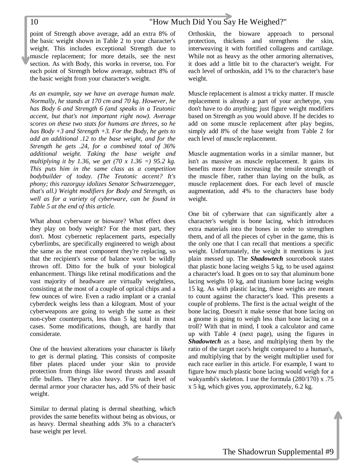point of Strength above average, add an extra 8% of the basic weight shown in Table 2 to your character's weight. This includes exceptional Strength due to muscle replacement; for more details, see the next section. As with Body, this works in reverse, too. For each point of Strength below average, subtract 8% of the basic weight from your character's weight.

*As an example, say we have an average human male. Normally, he stands at 170 cm and 70 kg. However, he has Body 6 and Strength 6 (and speaks in a Teutonic accent, but that's not important right now). Average scores on these two stats for humans are threes, so he has Body +3 and Strength +3. For the Body, he gets to add an additional .12 to the base weight, and for the Strength he gets .24, for a combined total of 36% additional weight. Taking the base weight and multiplying it by 1.36, we get (70 x 1.36 =) 95.2 kg. This puts him in the same class as a competition bodybuilder of today. (The Teutonic accent? It's phony; this razorguy idolizes Senator Schwarzenegger, that's all.) Weight modifiers for Body and Strength, as well as for a variety of cyberware, can be found in Table 5 at the end of this article.*

What about cyberware or bioware? What effect does they play on body weight? For the most part, they don't. Most cybernetic replacement parts, especially cyberlimbs, are specifically engineered to weigh about the same as the meat component they're replacing, so that the recipient's sense of balance won't be wildly thrown off. Ditto for the bulk of your biological enhancement. Things like retinal modifications and the vast majority of headware are virtually weightless, consisting at the most of a couple of optical chips and a few ounces of wire. Even a radio implant or a cranial cyberdeck weighs less than a kilogram. Most of your cyberweapons are going to weigh the same as their non-cyber counterparts, less than 5 kg total in most cases. Some modifications, though, are hardly that considerate.

One of the heaviest alterations your character is likely to get is dermal plating. This consists of composite fiber plates placed under your skin to provide protection from things like sword thrusts and assault rifle bullets. They're also heavy. For each level of dermal armor your character has, add 5% of their basic weight.

Similar to dermal plating is dermal sheathing, which provides the same benefits without being as obvious, or as heavy. Dermal sheathing adds 3% to a character's base weight per level.

Orthoskin, the bioware approach to personal protection, thickens and strengthens the skin, interweaving it with fortified collagens and cartilage. While not as heavy as the other armoring alternatives, it does add a little bit to the character's weight. For each level of orthoskin, add 1% to the character's base weight.

Muscle replacement is almost a tricky matter. If muscle replacement is already a part of your archetype, you don't have to do anything; just figure weight modifiers based on Strength as you would above. If he decides to add on some muscle replacement after play begins, simply add 8% of the base weight from Table 2 for each level of muscle replacement.

Muscle augmentation works in a similar manner, but isn't as massive as muscle replacement. It gains its benefits more from increasing the tensile strength of the muscle fiber, rather than laying on the bulk, as muscle replacement does. For each level of muscle augmentation, add 4% to the characters base body weight.

One bit of cyberware that can significantly alter a character's weight is bone lacing, which introduces extra materials into the bones in order to strengthen them, and of all the pieces of cyber in the game, this is the only one that I can recall that mentions a specific weight. Unfortunately, the weight it mentions is just plain messed up. The *Shadowtech* sourcebook states that plastic bone lacing weighs 5 kg, to be used against a character's load. It goes on to say that aluminum bone lacing weighs 10 kg, and titanium bone lacing weighs 15 kg. As with plastic lacing, these weights are meant to count against the character's load. This presents a couple of problems. The first is the actual weight of the bone lacing. Doesn't it make sense that bone lacing on a gnome is going to weigh less than bone lacing on a troll? With that in mind, I took a calculator and came up with Table 4 (next page), using the figures in *Shadowtech* as a base, and multiplying them by the ratio of the target race's height compared to a human's, and multiplying that by the weight multiplier used for each race earlier in this article. For example, I want to figure how much plastic bone lacing would weigh for a wakyambi's skeleton. I use the formula (280/170) x .75 x 5 kg, which gives you, approximately, 6.2 kg.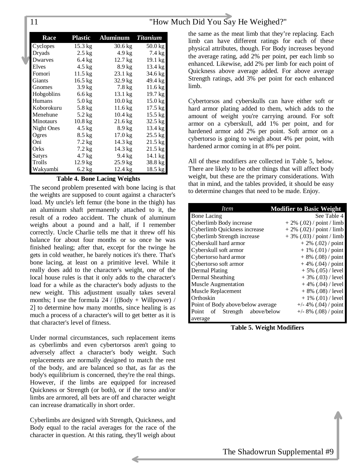| 11 | "How Much Did You Say He Weighed?" |
|----|------------------------------------|
|    |                                    |

| <b>Race</b>   | <b>Plastic</b>    | <b>Aluminum</b>   | <b>Titanium</b>   |
|---------------|-------------------|-------------------|-------------------|
| Cyclopes      | $15.3 \text{ kg}$ | $30.6 \text{ kg}$ | $50.0 \text{ kg}$ |
| Dryads        | $2.5 \text{ kg}$  | 4.9 kg            | 7.4 kg            |
| Dwarves       | $6.4 \text{ kg}$  | $12.7 \text{ kg}$ | 19.1 kg           |
| Elves         | $4.5 \text{ kg}$  | $8.9 \text{ kg}$  | 13.4 kg           |
| Fomori        | $11.5 \text{ kg}$ | 23.1 kg           | 34.6 kg           |
| Giants        | $16.5 \text{ kg}$ | $32.9 \text{ kg}$ | 49.4 kg           |
| Gnomes        | $3.9 \text{ kg}$  | $7.8 \text{ kg}$  | $11.6$ kg         |
| Hobgoblins    | $6.6 \text{ kg}$  | $13.1 \text{ kg}$ | $19.7 \text{ kg}$ |
| <b>Humans</b> | $5.0$ kg          | $10.0 \text{ kg}$ | $15.0$ kg         |
| Koborokuru    | $5.8 \text{ kg}$  | $11.6 \text{ kg}$ | 17.5 kg           |
| Menehune      | $5.2 \text{ kg}$  | $10.4 \text{ kg}$ | $15.5 \text{ kg}$ |
| Minotaurs     | $10.8$ kg         | $21.6 \text{ kg}$ | $32.5$ kg         |
| Night Ones    | $4.5 \text{ kg}$  | $8.9 \text{ kg}$  | 13.4 kg           |
| Ogres         | $8.5 \text{ kg}$  | $17.0 \text{ kg}$ | $25.5$ kg         |
| Oni           | $7.2 \text{ kg}$  | 14.3 kg           | $21.5 \text{ kg}$ |
| Orks          | $7.2 \text{ kg}$  | 14.3 kg           | 21.5 kg           |
| Satyrs        | $4.7 \text{ kg}$  | 9.4 kg            | 14.1 kg           |
| Trolls        | 12.9 kg           | $25.9$ kg         | 38.8 kg           |
| Wakyambi      | $6.2$ kg          | 12.4 kg           | 18.5 kg           |

#### **Table 4. Bone Lacing Weights**

The second problem presented with bone lacing is that the weights are supposed to count against a character's load. My uncle's left femur (the bone in the thigh) has an aluminum shaft permanently attached to it, the result of a rodeo accident. The chunk of aluminum weighs about a pound and a half, if I remember correctly. Uncle Charlie tells me that it threw off his balance for about four months or so once he was finished healing; after that, except for the twinge he gets in cold weather, he barely notices it's there. That's bone lacing, at least on a primitive level. While it really does add to the character's weight, one of the local house rules is that it only adds to the character's load for a while as the character's body adjusts to the new weight. This adjustment usually takes several months; I use the formula  $24 / [(Body + Willpower) /$ 2] to determine how many months, since healing is as much a process of a character's will to get better as it is that character's level of fitness.

Under normal circumstances, such replacement items as cyberlimbs and even cybertorsos aren't going to adversely affect a character's body weight. Such replacements are normally designed to match the rest of the body, and are balanced so that, as far as the body's equilibrium is concerned, they're the real things. However, if the limbs are equipped for increased Quickness or Strength (or both), or if the torso and/or limbs are armored, all bets are off and character weight can increase dramatically in short order.

Cyberlimbs are designed with Strength, Quickness, and Body equal to the racial averages for the race of the character in question. At this rating, they'll weigh about the same as the meat limb that they're replacing. Each limb can have different ratings for each of these physical attributes, though. For Body increases beyond the average rating, add 2% per point, per each limb so enhanced. Likewise, add 2% per limb for each point of Quickness above average added. For above average Strength ratings, add 3% per point for each enhanced limb.

Cybertorsos and cyberskulls can have either soft or hard armor plating added to them, which adds to the amount of weight you're carrying around. For soft armor on a cyberskull, add 1% per point, and for hardened armor add 2% per point. Soft armor on a cybertorso is going to weigh about 4% per point, with hardened armor coming in at 8% per point.

All of these modifiers are collected in Table 5, below. There are likely to be other things that will affect body weight, but these are the primary considerations. With that in mind, and the tables provided, it should be easy to determine changes that need to be made. Enjoy.

| <i>Item</i>                         | <b>Modifier to Basic Weight</b> |
|-------------------------------------|---------------------------------|
| <b>Bone Lacing</b>                  | See Table 4                     |
| Cyberlimb Body increase             | $+2\%$ (.02) / point / limb     |
| Cyberlimb Quickness increase        | $+2\%$ (.02) / point / limb     |
| Cyberlimb Strength increase         | $+3\%$ (.03) / point / limb     |
| Cyberskull hard armor               | $+2\%$ (.02) / point            |
| Cyberskull soft armor               | $+1\%$ (.01) / point            |
| Cybertorso hard armor               | $+8\%$ (.08) / point            |
| Cybertorso soft armor               | $+4\%$ (.04) / point            |
| <b>Dermal Plating</b>               | $+5\%$ (.05) / level            |
| Dermal Sheathing                    | $+3\%$ (.03) / level            |
| <b>Muscle Augmentation</b>          | $+4\%$ (.04) / level            |
| Muscle Replacement                  | $+8\%$ (.08) / level            |
| Orthoskin                           | $+1\%$ (.01) / level            |
| Point of Body above/below average   | $+/- 4\%$ (.04) / point         |
| Strength above/below<br>Point<br>of | $+/- 8\%$ (.08) / point         |
| average                             |                                 |

**Table 5. Weight Modifiers**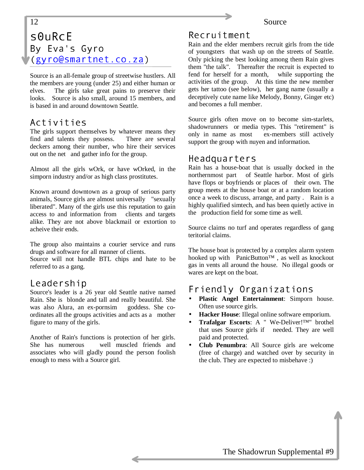# <span id="page-11-0"></span>12 Source  $SQURCE$ By Eva's Gyro (gyro@smartnet.co.za)

Source is an all-female group of streetwise hustlers. All the members are young (under 25) and either human or elves. The girls take great pains to preserve their looks. Source is also small, around 15 members, and is based in and around downtown Seattle.

### Activities

The girls support themselves by whatever means they find and talents they possess. There are several deckers among their number, who hire their services out on the net and gather info for the group.

Almost all the girls wOrk, or have wOrked, in the simporn industry and/or as high class prostitutes.

Known around downtown as a group of serious party animals, Source girls are almost universally "sexually liberated". Many of the girls use this reputation to gain access to and information from clients and targets alike. They are not above blackmail or extortion to acheive their ends.

The group also maintains a courier service and runs drugs and software for all manner of clients.

Source will not handle BTL chips and hate to be referred to as a gang.

### Leadership

Source's leader is a 26 year old Seattle native named Rain. She is blonde and tall and really beautiful. She was also Alura, an ex-pornsim goddess. She coordinates all the groups activities and acts as a mother figure to many of the girls.

Another of Rain's functions is protection of her girls. She has numerous well muscled friends and associates who will gladly pound the person foolish enough to mess with a Source girl.

# Recruitment

Rain and the elder members recruit girls from the tide of youngsters that wash up on the streets of Seattle. Only picking the best looking among them Rain gives them "the talk". Thereafter the recruit is expected to fend for herself for a month, while supporting the activities of the group. At this time the new member gets her tattoo (see below), her gang name (usually a deceptively cute name like Melody, Bonny, Ginger etc) and becomes a full member.

Source girls often move on to become sim-starlets, shadowrunners or media types. This "retirement" is only in name as most ex-members still actively support the group with nuyen and information.

#### Headquarters

Rain has a house-boat that is usually docked in the northernmost part of Seattle harbor. Most of girls have flops or boyfriends or places of their own. The group meets at the house boat or at a random location once a week to discuss, arrange, and party . Rain is a highly qualified simtech, and has been quietly active in the production field for some time as well.

Source claims no turf and operates regardless of gang teritorial claims.

The house boat is protected by a complex alarm system hooked up with PanicButton™ , as well as knockout gas in vents all around the house. No illegal goods or wares are kept on the boat.

# Friendly Organizations

- **Plastic Angel Entertainment**: Simporn house. Often use source girls.
- **Hacker House**: Illegal online software emporium.
- **Trafalgar Escorts**: A " We-Deliver!™" brothel that uses Source girls if needed. They are well paid and protected.
- **Club Penumbra**: All Source girls are welcome (free of charge) and watched over by security in the club. They are expected to misbehave :)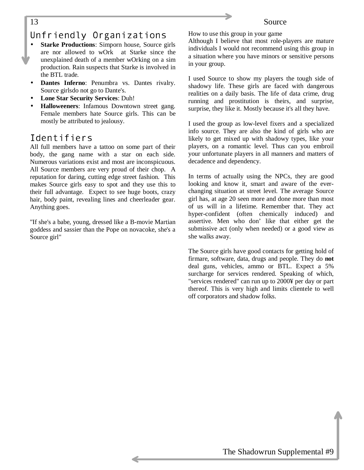#### <span id="page-12-0"></span>13 Source

# Unfriendly Organizations

- **Starke Productions:** Simporn house, Source girls are nor allowed to wOrk at Starke since the unexplained death of a member wOrking on a sim production. Rain suspects that Starke is involved in the BTL trade.
- **Dantes Inferno**: Penumbra vs. Dantes rivalry. Source girlsdo not go to Dante's.
- **Lone Star Security Services**: Duh!
- **Halloweeners**: Infamous Downtown street gang. Female members hate Source girls. This can be mostly be attributed to jealousy.

# Identifiers

All full members have a tattoo on some part of their body, the gang name with a star on each side. Numerous variations exist and most are inconspicuous. All Source members are very proud of their chop. A reputation for daring, cutting edge street fashion. This makes Source girls easy to spot and they use this to their full advantage. Expect to see huge boots, crazy hair, body paint, revealing lines and cheerleader gear. Anything goes.

"If she's a babe, young, dressed like a B-movie Martian goddess and sassier than the Pope on novacoke, she's a Source girl"

How to use this group in your game

Although I believe that most role-players are mature individuals I would not recommend using this group in a situation where you have minors or sensitive persons in your group.

I used Source to show my players the tough side of shadowy life. These girls are faced with dangerous realities on a daily basis. The life of data crime, drug running and prostitution is theirs, and surprise, surprise, they like it. Mostly because it's all they have.

I used the group as low-level fixers and a specialized info source. They are also the kind of girls who are likely to get mixed up with shadowy types, like your players, on a romantic level. Thus can you embroil your unfortunate players in all manners and matters of decadence and dependency.

In terms of actually using the NPCs, they are good looking and know it, smart and aware of the everchanging situation at street level. The average Source girl has, at age 20 seen more and done more than most of us will in a lifetime. Remember that. They act hyper-confident (often chemically induced) and assertive. Men who don' like that either get the submissive act (only when needed) or a good view as she walks away.

The Source girls have good contacts for getting hold of firmare, software, data, drugs and people. They do **not** deal guns, vehicles, ammo or BTL. Expect a 5% surcharge for services rendered. Speaking of which, "services rendered" can run up to 2000¥ per day or part thereof. This is very high and limits clientele to well off corporators and shadow folks.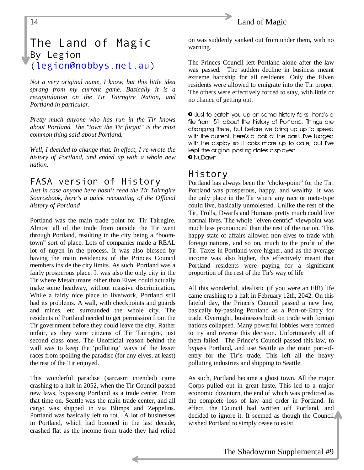#### 14 Land of Magic

# The Land of Magic By Legion (legion@nobbys.net.au)

*Not a very original name, I know, but this little idea sprang from my current game. Basically it is a recapitulation on the Tir Tairngire Nation, and Portland in particular.*

*Pretty much anyone who has run in the Tir knows about Portland. The "town the Tir forgot" is the most common thing said about Portland.*

*Well, I decided to change that. In effect, I re-wrote the history of Portland, and ended up with a whole new nation.*

# FASA version of History

*Just in case anyone here hasn't read the Tir Tairngire Sourcebook, here's a quick recounting of the Official history of Portland*

Portland was the main trade point for Tir Tairngire. Almost all of the trade from outside the Tir went through Portland, resulting in the city being a "boomtown" sort of place. Lots of companies made a REAL lot of nuyen in the process. It was also blessed by having the main residences of the Princes Council members inside the city limits. As such, Portland was a fairly prosperous place. It was also the only city in the Tir where Metahumans other than Elves could actually make some headway, without massive discrimination. While a fairly nice place to live/work, Portland still had its problems. A wall, with checkpoints and guards and mines, etc surrounded the whole city. The residents of Portland needed to get permission from the Tir government before they could leave the city. Rather unfair, as they were citizens of Tir Tairngire, just second class ones. The Unofficial reason behind the wall was to keep the 'polluting' ways of the lesser races from spoiling the paradise (for any elves, at least) the rest of the Tir enjoyed.

This wonderful paradise (sarcasm intended) came crashing to a halt in 2052, when the Tir Council passed new laws, bypassing Portland as a trade center. From that time on, Seattle was the main trade center, and all cargo was shipped in via Blimps and Zeppelins. Portland was basically left to rot. A lot of businesses in Portland, which had boomed in the last decade, crashed flat as the income from trade they had relied

on was suddenly yanked out from under them, with no warning.

The Princes Council left Portland alone after the law was passed. The sudden decline in business meant extreme hardship for all residents. Only the Elven residents were allowed to emigrate into the Tir proper. The others were effectively forced to stay, with little or no chance of getting out.

Uust to catch you up on some history folks, here's a file from 51 about the history of Portland. Things are changing there, but before we bring up up to speed with the current, here's a look at the past. I've fudged with the display so it looks more up to date, but I've kept the original posting dates displayed. <sup>o</sup> NuDawn

#### History

Portland has always been the "choke-point" for the Tir. Portland was prosperous, happy, and wealthy. It was the only place in the Tir where any race or mete-type could live, basically unmolested. Unlike the rest of the Tir, Trolls, Dwarfs and Humans pretty much could live normal lives. The whole "elven-centric" viewpoint was much less pronounced than the rest of the nation. This happy state of affairs allowed non-elves to trade with foreign nations, and so on, much to the profit of the Tir. Taxes in Portland were higher, and as the average income was also higher, this effectively meant that Portland residents were paying for a significant proportion of the rest of the Tir's way of life

All this wonderful, idealistic (if you were an Elf!) life came crashing to a halt in February 12th, 2042. On this fateful day, the Prince's Council passed a new law, basically by-passing Portland as a Port-of-Entry for trade. Overnight, businesses built on trade with foreign nations collapsed. Many powerful lobbies were formed to try and reverse this decision. Unfortunately all of them failed. The Prince's Council passed this law, to bypass Portland, and use Seattle as the main port-ofentry for the Tir's trade. This left all the heavy polluting industries and shipping to Seattle.

As such, Portland became a ghost town. All the major Corps pulled out in great haste. This led to a major economic downturn, the end of which was predicted as the complete loss of law and order in Portland. In effect, the Council had written off Portland, and decided to ignore it. It seemed as though the Council wished Portland to simply cease to exist.

<span id="page-13-0"></span>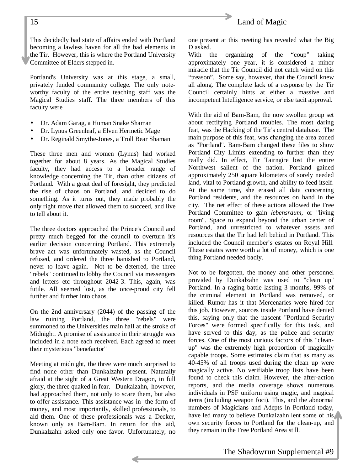### 15 Land of Magic

This decidedly bad state of affairs ended with Portland becoming a lawless haven for all the bad elements in the Tir. However, this is where the Portland University Committee of Elders stepped in.

Portland's University was at this stage, a small, privately funded community college. The only noteworthy faculty of the entire teaching staff was the Magical Studies staff. The three members of this faculty were

- Dr. Adam Garag, a Human Snake Shaman
- Dr. Lynus Greenleaf, a Elven Hermetic Mage
- Dr. Reginald Smythe-Jones, a Troll Bear Shaman

These three men and women (Lynus) had worked together for about 8 years. As the Magical Studies faculty, they had access to a broader range of knowledge concerning the Tir, than other citizens of Portland. With a great deal of foresight, they predicted the rise of chaos on Portland, and decided to do something. As it turns out, they made probably the only right move that allowed them to succeed, and live to tell about it.

The three doctors approached the Prince's Council and pretty much begged for the council to overturn it's earlier decision concerning Portland. This extremely brave act was unfortunately wasted, as the Council refused, and ordered the three banished to Portland, never to leave again. Not to be deterred, the three "rebels" continued to lobby the Council via messengers and letters etc throughout 2042-3. This, again, was futile. All seemed lost, as the once-proud city fell further and further into chaos.

On the 2nd anniversary (2044) of the passing of the law ruining Portland, the three "rebels" were summoned to the Universities main hall at the stroke of Midnight. A promise of assistance in their struggle was included in a note each received. Each agreed to meet their mysterious "benefactor"

Meeting at midnight, the three were much surprised to find none other than Dunkalzahn present. Naturally afraid at the sight of a Great Western Dragon, in full glory, the three quaked in fear. Dunkalzahn, however, had approached them, not only to scare them, but also to offer assistance. This assistance was in the form of money, and most importantly, skilled professionals, to aid them. One of these professionals was a Decker, known only as Bam-Bam. In return for this aid, Dunkalzahn asked only one favor. Unfortunately, no

one present at this meeting has revealed what the Big D asked.

With the organizing of the "coup" taking approximately one year, it is considered a minor miracle that the Tir Council did not catch wind on this "treason". Some say, however, that the Council knew all along. The complete lack of a response by the Tir Council certainly hints at either a massive and incompetent Intelligence service, or else tacit approval.

With the aid of Bam-Bam, the now swollen group set about rectifying Portland troubles. The most daring feat, was the Hacking of the Tir's central database. The main purpose of this feat, was changing the area zoned as "Portland". Bam-Bam changed these files to show Portland City Limits extending to further than they really did. In effect, Tir Tairngire lost the entire Northwest salient of the nation. Portland gained approximately 250 square kilometers of sorely needed land, vital to Portland growth, and ability to feed itself. At the same time, she erased all data concerning Portland residents, and the resources on hand in the city. The net effect of these actions allowed the Free Portland Committee to gain *lebensraum*, or "living room". Space to expand beyond the urban center of Portland, and unrestricted to whatever assets and resources that the Tir had left behind in Portland. This included the Council member's estates on Royal Hill. These estates were worth a lot of money, which is one thing Portland needed badly.

Not to be forgotten, the money and other personnel provided by Dunkalzahn was used to "clean up" Portland. In a raging battle lasting 3 months, 99% of the criminal element in Portland was removed, or killed. Rumor has it that Mercenaries were hired for this job. However, sources inside Portland have denied this, saying only that the nascent "Portland Security Forces" were formed specifically for this task, and have served to this day, as the police and security forces. One of the most curious factors of this "cleanup" was the extremely high proportion of magically capable troops. Some estimates claim that as many as 40-45% of all troops used during the clean up were magically active. No verifiable troop lists have been found to check this claim. However, the after-action reports, and the media coverage shows numerous individuals in PSF uniform using magic, and magical items (including weapon foci). This, and the abnormal numbers of Magicians and Adepts in Portland today, have led many to believe Dunkalzahn lent some of his own security forces to Portland for the clean-up, and they remain in the Free Portland Area still.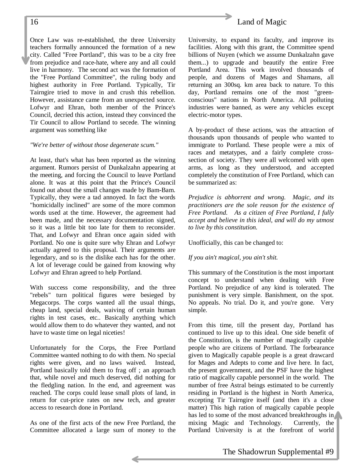Once Law was re-established, the three University teachers formally announced the formation of a new city. Called "Free Portland", this was to be a city free from prejudice and race-hate, where any and all could live in harmony. The second act was the formation of the "Free Portland Committee", the ruling body and highest authority in Free Portland. Typically, Tir Tairngire tried to move in and crush this rebellion. However, assistance came from an unexpected source. Lofwyr and Ehran, both member of the Prince's Council, decried this action, instead they convinced the Tir Council to allow Portland to secede. The winning argument was something like

#### *"We're better of without those degenerate scum."*

At least, that's what has been reported as the winning argument. Rumors persist of Dunkalzahn appearing at the meeting, and forcing the Council to leave Portland alone. It was at this point that the Prince's Council found out about the small changes made by Bam-Bam. Typically, they were a tad annoyed. In fact the words "homicidally inclined" are some of the more common words used at the time. However, the agreement had been made, and the necessary documentation signed, so it was a little bit too late for them to reconsider. That, and Lofwyr and Ehran once again sided with Portland. No one is quite sure why Ehran and Lofwyr actually agreed to this proposal. Their arguments are legendary, and so is the dislike each has for the other. A lot of leverage could be gained from knowing why Lofwyr and Ehran agreed to help Portland.

With success come responsibility, and the three "rebels" turn political figures were besieged by Megacorps. The corps wanted all the usual things, cheap land, special deals, waiving of certain human rights in test cases, etc.. Basically anything which would allow them to do whatever they wanted, and not have to waste time on legal niceties!

Unfortunately for the Corps, the Free Portland Committee wanted nothing to do with them. No special rights were given, and no laws waived. Instead, Portland basically told them to frag off ; an approach that, while novel and much deserved, did nothing for the fledgling nation. In the end, and agreement was reached. The corps could lease small plots of land, in return for cut-price rates on new tech, and greater access to research done in Portland.

As one of the first acts of the new Free Portland, the Committee allocated a large sum of money to the



University, to expand its faculty, and improve its facilities. Along with this grant, the Committee spend billions of Nuyen (which we assume Dunkalzahn gave them...) to upgrade and beautify the entire Free Portland Area. This work involved thousands of people, and dozens of Mages and Shamans, all returning an 300sq. km area back to nature. To this day, Portland remains one of the most "greenconscious" nations in North America. All polluting industries were banned, as were any vehicles except electric-motor types.

A by-product of these actions, was the attraction of thousands upon thousands of people who wanted to immigrate to Portland. These people were a mix of races and metatypes, and a fairly complete crosssection of society. They were all welcomed with open arms, as long as they understood, and accepted completely the constitution of Free Portland, which can be summarized as:

*Prejudice is abhorrent and wrong. Magic, and its practitioners are the sole reason for the existence of Free Portland. As a citizen of Free Portland, I fully accept and believe in this ideal, and will do my utmost to live by this constitution.*

Unofficially, this can be changed to:

#### *If you ain't magical, you ain't shit.*

This summary of the Constitution is the most important concept to understand when dealing with Free Portland. No prejudice of any kind is tolerated. The punishment is very simple. Banishment, on the spot. No appeals. No trial. Do it, and you're gone. Very simple.

From this time, till the present day, Portland has continued to live up to this ideal. One side benefit of the Constitution, is the number of magically capable people who are citizens of Portland. The forbearance given to Magically capable people is a great drawcard for Mages and Adepts to come and live here. In fact, the present government, and the PSF have the highest ratio of magically capable personnel in the world. The number of free Astral beings estimated to be currently residing in Portland is the highest in North America, excepting Tir Tairngire itself (and then it's a close matter) This high ration of magically capable people has led to some of the most advanced breakthroughs in mixing Magic and Technology. Currently, the Portland University is at the forefront of world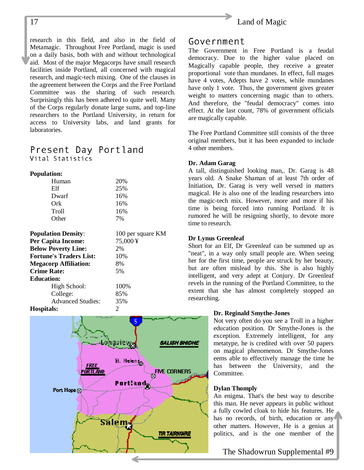<span id="page-16-0"></span>research in this field, and also in the field of Metamagic. Throughout Free Portland, magic is used on a daily basis, both with and without technological aid. Most of the major Megacorps have small research facilities inside Portland, all concerned with magical research, and magic-tech mixing. One of the clauses in the agreement between the Corps and the Free Portland Committee was the sharing of such research. Surprisingly this has been adhered to quite well. Many of the Corps regularly donate large sums, and top-line researchers to the Portland University, in return for access to University labs, and land grants for laboratories.

### Present Day Portland Vital Statistics

#### **Population:**

| Human        | 20%             |
|--------------|-----------------|
| Elf          | 25%             |
| Dwarf        | 16%             |
| Ork          | 16%             |
| <b>Troll</b> | 16%             |
| Other        | 70 <sub>0</sub> |

| <b>Population Density:</b>     | 100 per square KM |
|--------------------------------|-------------------|
| <b>Per Capita Income:</b>      | 75,000¥           |
| <b>Below Poverty Line:</b>     | 2%                |
| <b>Fortune's Traders List:</b> | 10%               |
| <b>Megacorp Affiliation:</b>   | 8%                |
| <b>Crime Rate:</b>             | .5%               |
| <b>Education:</b>              |                   |
| High School:                   | 100%              |
| College:                       | 85%               |
| <b>Advanced Studies:</b>       | 35%               |



#### Government

The Government in Free Portland is a feudal democracy. Due to the higher value placed on Magically capable people, they receive a greater proportional vote than mundanes. In effect, full mages have 4 votes, Adepts have 2 votes, while mundanes have only 1 vote. Thus, the government gives greater weight to matters concerning magic than to others. And therefore, the "feudal democracy" comes into effect. At the last count, 78% of government officials are magically capable.

The Free Portland Committee still consists of the three original members, but it has been expanded to include 4 other members.

#### **Dr. Adam Garag**

A tall, distinguished looking man,. Dr. Garag is 48 years old. A Snake Shaman of at least 7th order of Initiation, Dr. Garag is very well versed in matters magical. He is also one of the leading researchers into the magic-tech mix. However, more and more if his time is being forced into running Portland. It is rumored he will be resigning shortly, to devote more time to research.

#### **Dr Lynus Greenleaf**

Short for an Elf, Dr Greenleaf can be summed up as "neat", in a way only small people are. When seeing her for the first time, people are struck by her beauty, but are often mislead by this. She is also highly intelligent, and very adept at Conjury. Dr Greenleaf revels in the running of the Portland Committee, to the extent that she has almost completely stopped an researching.

#### **Dr. Reginald Smythe-Jones**

Not very often do you see a Troll in a higher education position. Dr Smythe-Jones is the exception. Extremely intelligent, for any metatype, he is credited with over 50 papers on magical phenomenon. Dr Smythe-Jones eems able to effectively manage the time he has between the University, and the Committee.

#### **Dylan Thomply**

An enigma. That's the best way to describe this man. He never appears in public without a fully cowled cloak to hide his features. He has no records, of birth, education or any other matters. However, He is a genius at politics, and is the one member of the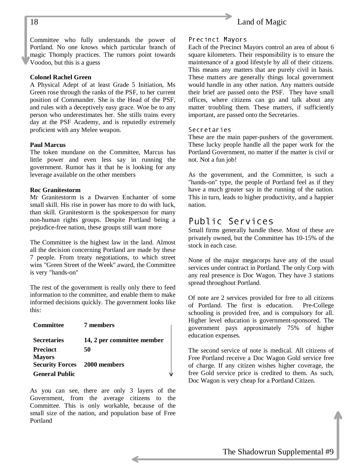<span id="page-17-0"></span>

Committee who fully understands the power of Portland. No one knows which particular branch of magic Thomply practices. The rumors point towards Voodoo, but this is a guess

#### **Colonel Rachel Green**

A Physical Adept of at least Grade 5 Initiation, Ms Green rose through the ranks of the PSF, to her current position of Commander. She is the Head of the PSF, and rules with a deceptively easy grace. Woe be to any person who underestimates her. She stills trains every day at the PSF Academy, and is reputedly extremely proficient with any Melee weapon.

#### **Paul Marcus**

The token mundane on the Committee, Marcus has little power and even less say in running the government. Rumor has it that he is looking for any leverage available on the other members

#### **Roc Granitestorm**

Mr Granitestorm is a Dwarven Enchanter of some small skill. His rise in power has more to do with luck, than skill. Granitestorm is the spokesperson for many non-human rights groups. Despite Portland being a prejudice-free nation, these groups still want more

The Committee is the highest law in the land. Almost all the decision concerning Portland are made by these 7 people. From treaty negotiations, to which street wins "Green Street of the Week" award, the Committee is very "hands-on"

The rest of the government is really only there to feed information to the committee, and enable them to make informed decisions quickly. The government looks like this:

| <b>Committee</b>                    | 7 members                  |
|-------------------------------------|----------------------------|
| <b>Secretaries</b>                  | 14, 2 per committee member |
| <b>Precinct</b>                     | 50                         |
| <b>Mayors</b>                       |                            |
| <b>Security Forces</b> 2000 members |                            |
| <b>General Public</b>               |                            |

As you can see, there are only 3 layers of the Government, from the average citizens to the Committee. This is only workable, because of the small size of the nation, and population base of Free Portland

#### Precinct Mayors

Each of the Precinct Mayors control an area of about 6 square kilometers. Their responsibility is to ensure the maintenance of a good lifestyle by all of their citizens. This means any matters that are purely civil in basis. These matters are generally things local government would handle in any other nation. Any matters outside their brief are passed onto the PSF. They have small offices, where citizens can go and talk about any matter troubling them. These matters, if sufficiently important, are passed onto the Secretaries.

#### Secretaries

These are the main paper-pushers of the government. These lucky people handle all the paper work for the Portland Government, no matter if the matter is civil or not. Not a fun job!

As the government, and the Committee, is such a "hands-on" type, the people of Portland feel as if they have a much greater say in the running of the nation. This in turn, leads to higher productivity, and a happier nation.

#### Public Services

Small firms generally handle these. Most of these are privately owned, but the Committee has 10-15% of the stock in each case.

None of the major megacorps have any of the usual services under contract in Portland. The only Corp with any real presence is Doc Wagon. They have 3 stations spread throughout Portland.

Of note are 2 services provided for free to all citizens of Portland. The first is education. Pre-College schooling is provided free, and is compulsory for all. Higher level education is government-sponsored. The government pays approximately 75% of higher education expenses.

The second service of note is medical. All citizens of Free Portland receive a Doc Wagon Gold service free of charge. If any citizen wishes higher coverage, the free Gold service price is credited to them. As such, Doc Wagon is very cheap for a Portland Citizen.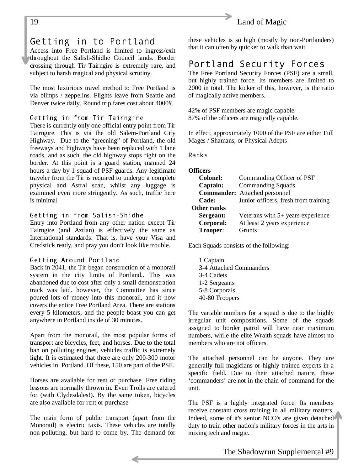#### <span id="page-18-0"></span>19 Land of Magic

# Getting in to Portland

Access into Free Portland is limited to ingress/exit throughout the Salish-Shidhe Council lands. Border crossing through Tir Tairngire is extremely rare, and subject to harsh magical and physical scrutiny.

The most luxurious travel method to Free Portland is via blimps / zeppelins. Flights leave from Seattle and Denver twice daily. Round trip fares cost about 4000¥.

#### Getting in from Tir Tairngire

There is currently only one official entry point from Tir Tairngire. This is via the old Salem-Portland City Highway. Due to the "greening" of Portland, the old freeways and highways have been replaced with 1 lane roads, and as such, the old highway stops right on the border. At this point is a guard station, manned 24 hours a day by 1 squad of PSF guards. Any legitimate traveler from the Tir is required to undergo a complete physical and Astral scan, whilst any luggage is examined even more stringently. As such, traffic here is minimal

#### Getting in from Salish-Shidhe

Entry into Portland from any other nation except Tir Tairngire (and Aztlan) is effectively the same as International standards. That is, have your Visa and Credstick ready, and pray you don't look like trouble.

#### Getting Around Portland

Back in 2041, the Tir began construction of a monorail system in the city limits of Portland.. This was abandoned due to cost after only a small demonstration track was laid. however, the Committee has since poured lots of money into this monorail, and it now covers the entire Free Portland Area. There are stations every 5 kilometers, and the people boast you can get anywhere in Portland inside of 30 minutes.

Apart from the monorail, the most popular forms of transport are bicycles, feet, and horses. Due to the total ban on polluting engines, vehicles traffic is extremely light. It is estimated that there are only 200-300 motor vehicles in Portland. Of these, 150 are part of the PSF.

Horses are available for rent or purchase. Free riding lessons are normally thrown in. Even Trolls are catered for (with Clydesdales!). By the same token, bicycles are also available for rent or purchase

The main form of public transport (apart from the Monorail) is electric taxis. These vehicles are totally non-polluting, but hard to come by. The demand for these vehicles is so high (mostly by non-Portlanders) that it can often by quicker to walk than wait

# Portland Security Forces

The Free Portland Security Forces (PSF) are a small, but highly trained force. Its members are limited to 2000 in total. The kicker of this, however, is the ratio of magically active members.

42% of PSF members are magic capable. 87% of the officers are magically capable.

In effect, approximately 1000 of the PSF are either Full Mages / Shamans, or Physical Adepts

Ranks

#### **Officers**

| <b>Colonel:</b>    | Commanding Officer of PSF            |
|--------------------|--------------------------------------|
| Captain:           | <b>Commanding Squads</b>             |
|                    | <b>Commander:</b> Attached personnel |
| Cade:              | Junior officers, fresh from training |
| <b>Other ranks</b> |                                      |
| Sergeant:          | Veterans with 5+ years experience    |
| Corporal:          | At least 2 years experience          |
| Trooper:           | <b>Grunts</b>                        |

Each Squads consists of the following:

1 Captain 3-4 Attached Commanders 3-4 Cadets 1-2 Sergeants 5-8 Corporals 40-80 Troopers

The variable numbers for a squad is due to the highly irregular unit compositions. Some of the squads assigned to border patrol will have near maximum numbers, while the elite Wraith squads have almost no members who are not officers.

The attached personnel can be anyone. They are generally full magicians or highly trained experts in a specific field. Due to their attached nature, these 'commanders' are not in the chain-of-command for the unit.

The PSF is a highly integrated force. Its members receive constant cross training in all military matters. Indeed, some of it's senior NCO's are given detached duty to train other nation's military forces in the arts in mixing tech and magic.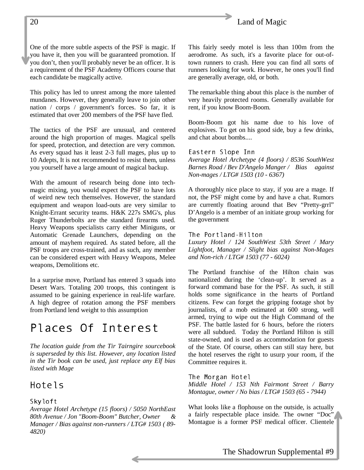#### <span id="page-19-0"></span>20 Land of Magic

One of the more subtle aspects of the PSF is magic. If you have it, then you will be guaranteed promotion. If you don't, then you'll probably never be an officer. It is a requirement of the PSF Academy Officers course that each candidate be magically active.

This policy has led to unrest among the more talented mundanes. However, they generally leave to join other nation / corps / government's forces. So far, it is estimated that over 200 members of the PSF have fled.

The tactics of the PSF are unusual, and centered around the high proportion of mages. Magical spells for speed, protection, and detection are very common. As every squad has it least 2-3 full mages, plus up to 10 Adepts, It is not recommended to resist them, unless you yourself have a large amount of magical backup.

With the amount of research being done into techmagic mixing, you would expect the PSF to have lots of weird new tech themselves. However, the standard equipment and weapon load-outs are very similar to Knight-Errant security teams. H&K 227s SMG's, plus Ruger Thunderbolts are the standard firearms used. Heavy Weapons specialists carry either Miniguns, or Automatic Grenade Launchers, depending on the amount of mayhem required. As stated before, all the PSF troops are cross-trained, and as such, any member can be considered expert with Heavy Weapons, Melee weapons, Demolitions etc.

In a surprise move, Portland has entered 3 squads into Desert Wars. Totaling 200 troops, this contingent is assumed to be gaining experience in real-life warfare. A high degree of rotation among the PSF members from Portland lend weight to this assumption

# Places Of Interest

*The location guide from the Tir Tairngire sourcebook is superseded by this list. However, any location listed in the Tir book can be used, just replace any Elf bias listed with Mage*

### Hotels

#### Skyloft

*Average Hotel Archetype (15 floors) / 5050 NorthEast 80th Avenue / Jon "Boom-Boom" Butcher, Owner & Manager / Bias against non-runners / LTG# 1503 ( 89- 4820)*

This fairly seedy motel is less than 100m from the aerodrome. As such, it's a favorite place for out-oftown runners to crash. Here you can find all sorts of runners looking for work. However, he ones you'll find are generally average, old, or both.

The remarkable thing about this place is the number of very heavily protected rooms. Generally available for rent, if you know Boom-Boom.

Boom-Boom got his name due to his love of explosives. To get on his good side, buy a few drinks, and chat about bombs....

#### Eastern Slope Inn

*Average Hotel Archetype (4 floors) / 8536 SouthWest Barnes Road / Bev D'Angelo Manger / Bias against Non-mages / LTG# 1503 (10 - 6367)*

A thoroughly nice place to stay, if you are a mage. If not, the PSF might come by and have a chat. Rumors are currently floating around that Bev "Pretty-grrl" D'Angelo is a member of an initiate group working for the government

#### The Portland-Hilton

*Luxury Hotel / 124 SouthWest 53th Street / Mary Lightfoot, Manager / Slight bias against Non-Mages and Non-rich / LTG# 1503 (77 - 6024)*

The Portland franchise of the Hilton chain was nationalized during the 'clean-up'. It served as a forward command base for the PSF. As such, it still holds some significance in the hearts of Portland citizens. Few can forget the gripping footage shot by journalists, of a mob estimated at 600 strong, well armed, trying to wipe out the High Command of the PSF. The battle lasted for 6 hours, before the rioters were all subdued. Today the Portland Hilton is still state-owned, and is used as accommodation for guests of the State. Of course, others can still stay here, but the hotel reserves the right to usurp your room, if the Committee requires it.

The Morgan Hotel

*Middle Hotel / 153 Nth Fairmont Street / Barry Montague, owner / No bias / LTG# 1503 (65 - 7944)*

What looks like a flophouse on the outside, is actually a fairly respectable place inside. The owner "Doc" Montague is a former PSF medical officer. Clientele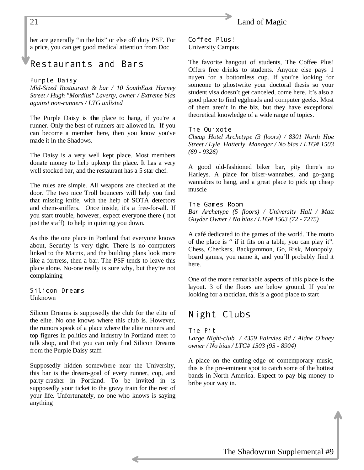<span id="page-20-0"></span>

her are generally "in the biz" or else off duty PSF. For a price, you can get good medical attention from Doc

# Restaurants and Bars

#### Purple Daisy

*Mid-Sized Restaurant & bar / 10 SouthEast Harney Street / Hugh "Mordius" Laverty, owner / Extreme bias against non-runners / LTG unlisted*

The Purple Daisy is **the** place to hang, if you're a runner. Only the best of runners are allowed in. If you can become a member here, then you know you've made it in the Shadows.

The Daisy is a very well kept place. Most members donate money to help upkeep the place. It has a very well stocked bar, and the restaurant has a 5 star chef.

The rules are simple. All weapons are checked at the door. The two nice Troll bouncers will help you find that missing knife, with the help of SOTA detectors and chem-sniffers. Once inside, it's a free-for-all. If you start trouble, however, expect everyone there ( not just the staff) to help in quieting you down.

As this the one place in Portland that everyone knows about, Security is very tight. There is no computers linked to the Matrix, and the building plans look more like a fortress, then a bar. The PSF tends to leave this place alone. No-one really is sure why, but they're not complaining

Silicon Dreams Unknown

Silicon Dreams is supposedly the club for the elite of the elite. No one knows where this club is. However, the rumors speak of a place where the elite runners and top figures in politics and industry in Portland meet to talk shop, and that you can only find Silicon Dreams from the Purple Daisy staff.

Supposedly hidden somewhere near the University, this bar is the dream-goal of every runner, cop, and party-crasher in Portland. To be invited in is supposedly your ticket to the gravy train for the rest of your life. Unfortunately, no one who knows is saying anything

Coffee Plus! University Campus

The favorite hangout of students, The Coffee Plus! Offers free drinks to students. Anyone else pays 1 nuyen for a bottomless cup. If you're looking for someone to ghostwrite your doctoral thesis so your student visa doesn't get canceled, come here. It's also a good place to find eggheads and computer geeks. Most of them aren't in the biz, but they have exceptional theoretical knowledge of a wide range of topics.

The Quixote

*Cheap Hotel Archetype (3 floors) / 8301 North Hoe Street / Lyle Hatterly Manager / No bias / LTG# 1503 (69 - 9326)*

A good old-fashioned biker bar, pity there's no Harleys. A place for biker-wannabes, and go-gang wannabes to hang, and a great place to pick up cheap muscle

The Games Room *Bar Archetype (5 floors) / University Hall / Matt Guyder Owner / No bias / LTG# 1503 (72 - 7275)*

A café dedicated to the games of the world. The motto of the place is " if it fits on a table, you can play it". Chess, Checkers, Backgammon, Go, Risk, Monopoly, board games, you name it, and you'll probably find it here.

One of the more remarkable aspects of this place is the layout. 3 of the floors are below ground. If you're looking for a tactician, this is a good place to start

### Night Clubs

The Pit

*Large Night-club / 4359 Fairvies Rd / Aidne O'haey owner / No bias / LTG# 1503 (95 - 8904)*

A place on the cutting-edge of contemporary music, this is the pre-eminent spot to catch some of the hottest bands in North America. Expect to pay big money to bribe your way in.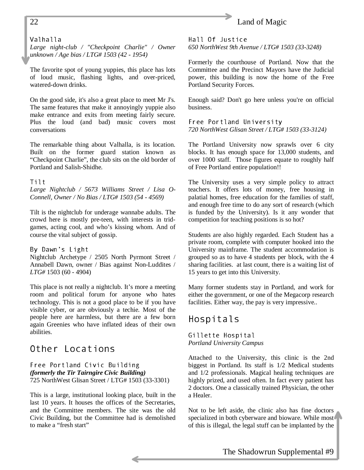### <span id="page-21-0"></span>22 Land of Magic

#### Valhalla

*Large night-club / "Checkpoint Charlie" / Owner unknown / Age bias / LTG# 1503 (42 - 1954)*

The favorite spot of young yuppies, this place has lots of loud music, flashing lights, and over-priced, watered-down drinks.

On the good side, it's also a great place to meet Mr J's. The same features that make it annoyingly yuppie also make entrance and exits from meeting fairly secure. Plus the loud (and bad) music covers most conversations

The remarkable thing about Valhalla, is its location. Built on the former guard station known as "Checkpoint Charlie", the club sits on the old border of Portland and Salish-Shidhe.

#### Tilt

*Large Nightclub / 5673 Williams Street / Lisa O-Connell, Owner / No Bias / LTG# 1503 (54 - 4569)*

Tilt is the nightclub for underage wannabe adults. The crowd here is mostly pre-teen, with interests in tridgames, acting cool, and who's kissing whom. And of course the vital subject of gossip.

By Dawn's Light Nightclub Archetype / 2505 North Pyrmont Street / Annabell Dawn, owner / Bias against Non-Luddites / *LTG#* 1503 (60 - 4904)

This place is not really a nightclub. It's more a meeting room and political forum for anyone who hates technology. This is not a good place to be if you have visible cyber, or are obviously a techie. Most of the people here are harmless, but there are a few born again Greenies who have inflated ideas of their own abilities.

### Other Locations

Free Portland Civic Building *(formerly the Tir Tairngire Civic Building)* 725 NorthWest Glisan Street / LTG# 1503 (33-3301)

This is a large, institutional looking place, built in the last 10 years. It houses the offices of the Secretaries, and the Committee members. The site was the old Civic Building, but the Committee had is demolished to make a "fresh start"

Hall Of Justice *650 NorthWest 9th Avenue / LTG# 1503 (33-3248)*

Formerly the courthouse of Portland. Now that the Committee and the Precinct Mayors have the Judicial power, this building is now the home of the Free Portland Security Forces.

Enough said? Don't go here unless you're on official business.

Free Portland University *720 NorthWest Glisan Street / LTG# 1503 (33-3124)*

The Portland University now sprawls over 6 city blocks. It has enough space for 13,000 students, and over 1000 staff. Those figures equate to roughly half of Free Portland entire population!!

The University uses a very simple policy to attract teachers. It offers lots of money, free housing in palatial homes, free education for the families of staff, and enough free time to do any sort of research (which is funded by the University). Is it any wonder that competition for teaching positions is so hot?

Students are also highly regarded. Each Student has a private room, complete with computer hooked into the University mainframe. The student accommodation is grouped so as to have 4 students per block, with the 4 sharing facilities. at last count, there is a waiting list of 15 years to get into this University.

Many former students stay in Portland, and work for either the government, or one of the Megacorp research facilities. Either way, the pay is very impressive..

#### Hospitals

Gillette Hospital *Portland University Campus*

Attached to the University, this clinic is the 2nd biggest in Portland. Its staff is 1/2 Medical students and 1/2 professionals. Magical healing techniques are highly prized, and used often. In fact every patient has 2 doctors. One a classically trained Physician, the other a Healer.

Not to be left aside, the clinic also has fine doctors specialized in both cyberware and bioware. While most of this is illegal, the legal stuff can be implanted by the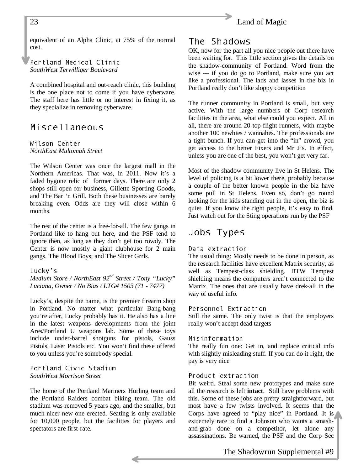<span id="page-22-0"></span>

equivalent of an Alpha Clinic, at 75% of the normal cost.

Portland Medical Clinic *SouthWest Terwilliger Boulevard*

A combined hospital and out-reach clinic, this building is the one place not to come if you have cyberware. The staff here has little or no interest in fixing it, as they specialize in removing cyberware.

### Miscellaneous

Wilson Center *NorthEast Multomah Street*

The Wilson Center was once the largest mall in the Northern Americas. That was, in 2011. Now it's a faded bygone relic of former days. There are only 2 shops still open for business, Gillette Sporting Goods, and The Bar 'n Grill. Both these businesses are barely breaking even. Odds are they will close within 6 months.

The rest of the center is a free-for-all. The few gangs in Portland like to hang out here, and the PSF tend to ignore then, as long as they don't get too rowdy. The Center is now mostly a giant clubhouse for 2 main gangs. The Blood Boys, and The Slicer Grrls.

#### Lucky's

*Medium Store / NorthEast 92nd Street / Tony "Lucky" Luciana, Owner / No Bias / LTG# 1503 (71 - 7477)*

Lucky's, despite the name, is the premier firearm shop in Portland. No matter what particular Bang-bang you're after, Lucky probably has it. He also has a line in the latest weapons developments from the joint Ares/Portland U weapons lab. Some of these toys include under-barrel shotguns for pistols, Gauss Pistols, Laser Pistols etc. You won't find these offered to you unless you're somebody special.

Portland Civic Stadium *SouthWest Morrison Street*

The home of the Portland Mariners Hurling team and the Portland Raiders combat biking team. The old stadium was removed 5 years ago, and the smaller, but much nicer new one erected. Seating is only available for 10,000 people, but the facilities for players and spectators are first-rate.

### The Shadows

OK, now for the part all you nice people out there have been waiting for. This little section gives the details on the shadow-community of Portland. Word from the wise --- if you do go to Portland, make sure you act like a professional. The lads and lasses in the biz in Portland really don't like sloppy competition

The runner community in Portland is small, but very active. With the large numbers of Corp research facilities in the area, what else could you expect. All in all, there are around 20 top-flight runners, with maybe another 100 newbies / wannabes. The professionals are a tight bunch. If you can get into the "in" crowd, you get access to the better Fixers and Mr J's. In effect, unless you are one of the best, you won't get very far.

Most of the shadow community live in St Helens. The level of policing is a bit lower there, probably because a couple of the better known people in the biz have some pull in St Helens. Even so, don't go round looking for the kids standing out in the open, the biz is quiet. If you know the right people, it's easy to find. Just watch out for the Sting operations run by the PSF

### Jobs Types

#### Data extraction

The usual thing: Mostly needs to be done in person, as the research facilities have excellent Matrix security, as well as Tempest-class shielding. BTW Tempest shielding means the computers aren't connected to the Matrix. The ones that are usually have drek-all in the way of useful info.

#### Personnel Extraction

Still the same. The only twist is that the employers really won't accept dead targets

#### Misinformation

The really fun one: Get in, and replace critical info with slightly misleading stuff. If you can do it right, the pay is very nice

#### Product extraction

Bit weird. Steal some new prototypes and make sure all the research is left **intact**. Still have problems with this. Some of these jobs are pretty straightforward, but most have a few twists involved. It seems that the Corps have agreed to "play nice" in Portland. It is extremely rare to find a Johnson who wants a smashand-grab done on a competitor, let alone any assassinations. Be warned, the PSF and the Corp Sec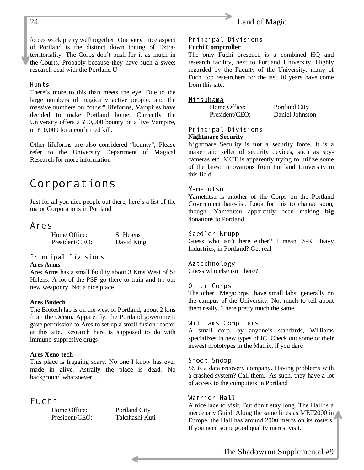#### <span id="page-23-0"></span>24 Land of Magic

forces work pretty well together. One **very** nice aspect of Portland is the distinct down toning of Extraterritoriality. The Corps don't push for it as much in the Courts. Probably because they have such a sweet research deal with the Portland U

#### Hunts

There's more to this than meets the eye. Due to the large numbers of magically active people, and the massive numbers on "other" lifeforms, Vampires have decided to make Portland home. Currently the University offers a ¥50,000 bounty on a live Vampire, or ¥10,000 for a confirmed kill.

Other lifeforms are also considered "bounty", Please refer to the University Department of Magical Research for more information

# Corporations

Just for all you nice people out there, here's a list of the major Corporations in Portland

#### Ares

Home Office: St Helens President/CEO: David King

### Principal Divisions

#### **Ares Arms**

Ares Arms has a small facility about 3 Kms West of St Helens. A lot of the PSF go there to train and try-out new weaponry. Not a nice place

#### **Ares Biotech**

The Biotech lab is on the west of Portland, about 2 kms from the Ocean. Apparently, the Portland government gave permission to Ares to set up a small fusion reactor at this site. Research here is supposed to do with immuno-suppresive drugs

#### **Ares Xeno-tech**

This place is fragging scary. No one I know has ever made in alive. Astrally the place is dead. No background whatsoever…

### Fuchi

Home Office: Portland City President/CEO: Takahashi Kuti

#### Principal Divisions **Fuchi Comptroller**

The only Fuchi presence is a combined HQ and research facility, next to Portland University. Highly regarded by the Faculty of the University, many of Fuchi top researchers for the last 10 years have come from this site.

#### Mitsuhama

Home Office: Portland City President/CEO: Daniel Johnston

#### Principal Divisions **Nightmare Security**

Nightmare Security is **not** a security force. It is a maker and seller of security devices, such as spycameras etc. MCT is apparently trying to utilize some of the latest innovations from Portland University in this field

#### Yametutsu

Yametutsu is another of the Corps on the Portland Government hate-list. Look for this to change soon, though, Yametutsu apparently been making **big** donations to Portland

#### Saedler-Krupp

Guess who isn't here either? I mean, S-K Heavy Industries, in Portland? Get real

#### Aztechnology

Guess who else isn't here?

#### Other Corps

The other Megacorps have small labs, generally on the campus of the University. Not much to tell about them really. There pretty much the same.

#### Williams Computers

A small corp, by anyone's standards, Williams specializes in new types of IC. Check out some of their newest prototypes in the Matrix, if you dare

#### Snoop-Snoop

SS is a data recovery company. Having problems with a crashed system? Call them. As such, they have a lot of access to the computers in Portland

#### Warrior Hall

A nice lace to visit. But don't stay long. The Hall is a mercenary Guild. Along the same lines as MET2000 in Europe, the Hall has around 2000 mercs on its rosters. If you need some good quality mercs, visit.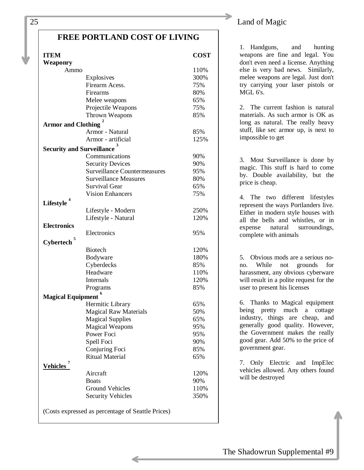#### **FREE PORTLAND COST OF LIVING**

| <b>ITEM</b>                      |                                                   | <b>COST</b> |
|----------------------------------|---------------------------------------------------|-------------|
| Weaponry                         |                                                   |             |
| Ammo                             |                                                   | 110%        |
|                                  | Explosives                                        | 300%        |
|                                  | Firearm Acess.                                    | 75%         |
|                                  | Firearms                                          | 80%         |
|                                  | Melee weapons                                     | 65%         |
|                                  | Projectile Weapons                                | 75%         |
|                                  | Thrown Weapons                                    | 85%         |
| <b>Armor and Clothing</b>        |                                                   |             |
|                                  | Armor - Natural                                   | 85%         |
|                                  | Armor - artificial                                | 125%        |
| <b>Security and Surveillance</b> | 3                                                 |             |
|                                  | Communications                                    | 90%         |
|                                  | <b>Security Devices</b>                           | 90%         |
|                                  | <b>Surveillance Countermeasures</b>               | 95%         |
|                                  | <b>Surveillance Measures</b>                      | 80%         |
|                                  | <b>Survival Gear</b>                              | 65%         |
|                                  | <b>Vision Enhancers</b>                           | 75%         |
|                                  |                                                   |             |
| Lifestyle                        |                                                   |             |
|                                  | Lifestyle - Modern                                | 250%        |
|                                  | Lifestyle - Natural                               | 120%        |
| <b>Electronics</b>               |                                                   |             |
| 5                                | Electronics                                       | 95%         |
| <b>Cybertech</b>                 |                                                   |             |
|                                  | <b>Biotech</b>                                    | 120%        |
|                                  | Bodyware                                          | 180%        |
|                                  | Cyberdecks                                        | 85%         |
|                                  | Headware                                          | 110%        |
|                                  | Internals                                         | 120%        |
|                                  | Programs                                          | 85%         |
| <b>Magical Equipment</b>         |                                                   |             |
|                                  | Hermitic Library                                  | 65%         |
|                                  | <b>Magical Raw Materials</b>                      | 50%         |
|                                  | <b>Magical Supplies</b>                           | 65%         |
|                                  | <b>Magical Weapons</b>                            | 95%         |
|                                  | Power Foci                                        | 95%         |
|                                  | Spell Foci                                        | 90%         |
|                                  | Conjuring Foci                                    | 85%         |
|                                  | <b>Ritual Material</b>                            | 65%         |
| <b>Vehicles</b>                  |                                                   |             |
|                                  | Aircraft                                          | 120%        |
|                                  | <b>Boats</b>                                      |             |
|                                  |                                                   | 90%         |
|                                  | <b>Ground Vehicles</b>                            | 110%        |
|                                  | <b>Security Vehicles</b>                          | 350%        |
|                                  | (Costs expressed as percentage of Seattle Prices) |             |

#### 25 Land of Magic

1. Handguns, and hunting weapons are fine and legal. You don't even need a license. Anything else is very bad news. Similarly, melee weapons are legal. Just don't try carrying your laser pistols or MGL 6's.

2. The current fashion is natural materials. As such armor is OK as long as natural. The really heavy stuff, like sec armor up, is next to impossible to get

3. Most Surveillance is done by magic. This stuff is hard to come by. Double availability, but the price is cheap.

4. The two different lifestyles represent the ways Portlanders live. Either in modern style houses with all the bells and whistles, or in expense natural surroundings, complete with animals

5. Obvious mods are a serious nono. While not grounds for harassment, any obvious cyberware will result in a polite request for the user to present his licenses

6. Thanks to Magical equipment being pretty much a cottage industry, things are cheap, and generally good quality. However, the Government makes the really good gear. Add 50% to the price of government gear.

7. Only Electric and ImpElec vehicles allowed. Any others found will be destroyed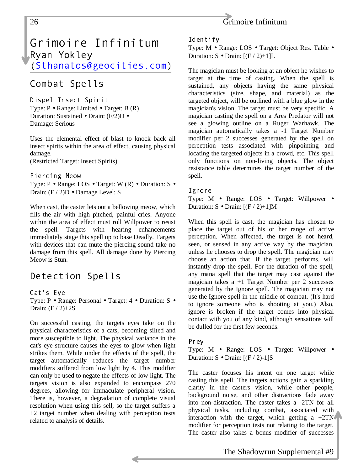<span id="page-25-0"></span>

# Grimoire Infinitum Ryan Yokley

(Sthanatos@geocities.com)

# Combat Spells

Dispel Insect Spirit Type: P • Range: Limited • Target: B (R) Duration: Sustained • Drain: (F/2)D • Damage: Serious

Uses the elemental effect of blast to knock back all insect spirits within the area of effect, causing physical damage. (Restricted Target: Insect Spirits)

Piercing Meow

Type: P • Range: LOS • Target: W (R) • Duration: S • Drain: (F / 2)D • Damage Level: S

When cast, the caster lets out a bellowing meow, which fills the air with high pitched, painful cries. Anyone within the area of effect must roll Willpower to resist the spell. Targets with hearing enhancements immediately stage this spell up to base Deadly. Targets with devices that can mute the piercing sound take no damage from this spell. All damage done by Piercing Meow is Stun.

# Detection Spells

Cat's Eye Type: P • Range: Personal • Target: 4 • Duration: S • Drain:  $(F / 2)+2S$ 

On successful casting, the targets eyes take on the physical characteristics of a cats, becoming silted and more susceptible to light. The physical variance in the cat's eye structure causes the eyes to glow when light strikes them. While under the effects of the spell, the target automatically reduces the target number modifiers suffered from low light by 4. This modifier can only be used to negate the effects of low light. The targets vision is also expanded to encompass 270 degrees, allowing for immaculate peripheral vision. There is, however, a degradation of complete visual resolution when using this sell, so the target suffers a +2 target number when dealing with perception tests related to analysis of details.

#### Identify

Type: M • Range: LOS • Target: Object Res. Table • Duration:  $S \cdot \text{Drain: } [(F / 2) + 1]L$ 

The magician must be looking at an object he wishes to target at the time of casting. When the spell is sustained, any objects having the same physical characteristics (size, shape, and material) as the targeted object, will be outlined with a blue glow in the magician's vision. The target must be very specific. A magician casting the spell on a Ares Predator will not see a glowing outline on a Ruger Warhawk. The magician automatically takes a -1 Target Number modifier per 2 successes generated by the spell on perception tests associated with pinpointing and locating the targeted objects in a crowd, etc. This spell only functions on non-living objects. The object resistance table determines the target number of the spell.

#### Ignore

Type: M • Range: LOS • Target: Willpower • Duration:  $S \cdot \text{Drain: } [(F / 2) + 1]M$ 

When this spell is cast, the magician has chosen to place the target out of his or her range of active perception. When affected, the target is not heard, seen, or sensed in any active way by the magician, unless he chooses to drop the spell. The magician may choose an action that, if the target performs, will instantly drop the spell. For the duration of the spell, any mana spell that the target may cast against the magician takes  $a +1$  Target Number per 2 successes generated by the Ignore spell. The magician may not use the Ignore spell in the middle of combat. (It's hard to ignore someone who is shooting at you.) Also, ignore is broken if the target comes into physical contact with you of any kind, although sensations will be dulled for the first few seconds.

Prey

Type: M • Range: LOS • Target: Willpower • Duration:  $S \cdot \text{Drain: } [(F / 2) - 1]S$ 

The caster focuses his intent on one target while casting this spell. The targets actions gain a sparkling clarity in the casters vision, while other people, background noise, and other distractions fade away into non-distraction. The caster takes a -2TN for all physical tasks, including combat, associated with interaction with the target, which getting a  $+2TN$ modifier for perception tests not relating to the target. The caster also takes a bonus modifier of successes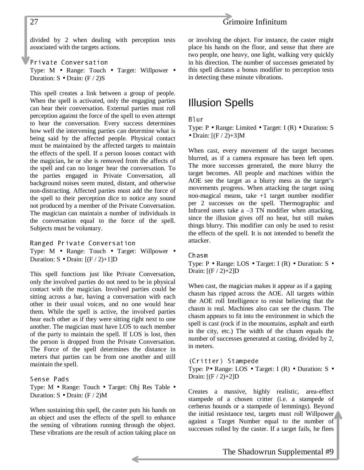#### 27 Grimoire Infinitum

divided by 2 when dealing with perception tests associated with the targets actions.

Private Conversation Type: M • Range: Touch • Target: Willpower • Duration:  $S \cdot \text{Drain: } (F / 2)S$ 

This spell creates a link between a group of people. When the spell is activated, only the engaging parties can hear their conversation. External parties must roll perception against the force of the spell to even attempt to hear the conversation. Every success determines how well the intervening parties can determine what is being said by the affected people. Physical contact must be maintained by the affected targets to maintain the effects of the spell. If a person looses contact with the magician, he or she is removed from the affects of the spell and can no longer hear the conversation. To the parties engaged in Private Conversation, all background noises seem muted, distant, and otherwise non-distracting. Affected parties must add the force of the spell to their perception dice to notice any sound not produced by a member of the Private Conversation. The magician can maintain a number of individuals in the conversation equal to the force of the spell. Subjects must be voluntary.

Ranged Private Conversation Type: M • Range: Touch • Target: Willpower • Duration:  $S \cdot \text{Drain: } [(F / 2) + 1]D$ 

This spell functions just like Private Conversation, only the involved parties do not need to be in physical contact with the magician. Involved parties could be sitting across a bar, having a conversation with each other in their usual voices, and no one would hear them. While the spell is active, the involved parties hear each other as if they were sitting right next to one another. The magician must have LOS to each member of the party to maintain the spell. If LOS is lost, then the person is dropped from the Private Conversation. The Force of the spell determines the distance in meters that parties can be from one another and still maintain the spell.

#### Sense Pads

Type: M • Range: Touch • Target: Obj Res Table • Duration:  $S \cdot \text{Drain: } (F / 2)M$ 

When sustaining this spell, the caster puts his hands on an object and uses the effects of the spell to enhance the sensing of vibrations running through the object. These vibrations are the result of action taking place on

or involving the object. For instance, the caster might place his hands on the floor, and sense that there are two people, one heavy, one light, walking very quickly in his direction. The number of successes generated by this spell dictates a bonus modifier to perception tests in detecting these minute vibrations.

# Illusion Spells

#### Blur

Type: P • Range: Limited • Target: I (R) • Duration: S • Drain:  $[(F / 2) + 3]M$ 

When cast, every movement of the target becomes blurred, as if a camera exposure has been left open. The more successes generated, the more blurry the target becomes. All people and machines within the AOE see the target as a blurry mess as the target's movements progress. When attacking the target using non-magical means, take +1 target number modifier per 2 successes on the spell. Thermographic and Infrared users take a  $-3$  TN modifier when attacking, since the illusion gives off no heat, but still makes things blurry. This modifier can only be used to resist the effects of the spell. It is not intended to benefit the attacker.

#### $Chasm$

Type: P • Range: LOS • Target: I (R) • Duration: S • Drain:  $[(F / 2)+2]D$ 

When cast, the magician makes it appear as if a gaping chasm has ripped across the AOE. All targets within the AOE roll Intelligence to resist believing that the chasm is real. Machines also can see the chasm. The chasm appears to fit into the environment in which the spell is cast (rock if in the mountains, asphalt and earth in the city, etc.) The width of the chasm equals the number of successes generated at casting, divided by 2, in meters.

(Critter) Stampede Type: P• Range: LOS • Target: I (R) • Duration: S • Drain:  $[(F / 2)+2]D$ 

Creates a massive, highly realistic, area-effect stampede of a chosen critter (i.e. a stampede of cerberus hounds or a stampede of lemmings). Beyond the initial resistance test, targets must roll Willpower against a Target Number equal to the number of successes rolled by the caster. If a target fails, he flees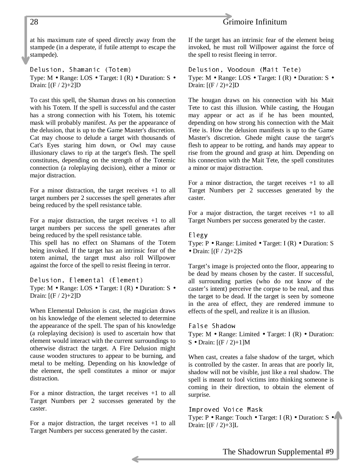#### 28 Grimoire Infinitum

at his maximum rate of speed directly away from the stampede (in a desperate, if futile attempt to escape the stampede).

Delusion, Shamanic (Totem) Type: M • Range: LOS • Target: I (R) • Duration: S • Drain:  $[(F / 2)+2]D$ 

To cast this spell, the Shaman draws on his connection with his Totem. If the spell is successful and the caster has a strong connection with his Totem, his totemic mask will probably manifest. As per the appearance of the delusion, that is up to the Game Master's discretion. Cat may choose to delude a target with thousands of Cat's Eyes staring him down, or Owl may cause illusionary claws to rip at the target's flesh. The spell constitutes, depending on the strength of the Totemic connection (a roleplaying decision), either a minor or major distraction.

For a minor distraction, the target receives +1 to all target numbers per 2 successes the spell generates after being reduced by the spell resistance table.

For a major distraction, the target receives +1 to all target numbers per success the spell generates after being reduced by the spell resistance table.

This spell has no effect on Shamans of the Totem being invoked. If the target has an intrinsic fear of the totem animal, the target must also roll Willpower against the force of the spell to resist fleeing in terror.

Delusion, Elemental (Element) Type: M • Range: LOS • Target: I (R) • Duration: S • Drain:  $[(F / 2)+2]D$ 

When Elemental Delusion is cast, the magician draws on his knowledge of the element selected to determine the appearance of the spell. The span of his knowledge (a roleplaying decision) is used to ascertain how that element would interact with the current surroundings to otherwise distract the target. A Fire Delusion might cause wooden structures to appear to be burning, and metal to be melting. Depending on his knowledge of the element, the spell constitutes a minor or major distraction.

For a minor distraction, the target receives +1 to all Target Numbers per 2 successes generated by the caster.

For a major distraction, the target receives +1 to all Target Numbers per success generated by the caster.

If the target has an intrinsic fear of the element being invoked, he must roll Willpower against the force of the spell to resist fleeing in terror.

Delusion, Voodoun (Mait Tete) Type: M • Range: LOS • Target: I (R) • Duration: S • Drain:  $[(F / 2)+2]D$ 

The hougan draws on his connection with his Mait Tete to cast this illusion. While casting, the Hougan may appear or act as if he has been mounted, depending on how strong his connection with the Mait Tete is. How the delusion manifests is up to the Game Master's discretion. Ghede might cause the target's flesh to appear to be rotting, and hands may appear to rise from the ground and grasp at him. Depending on his connection with the Mait Tete, the spell constitutes a minor or major distraction.

For a minor distraction, the target receives +1 to all Target Numbers per 2 successes generated by the caster.

For a major distraction, the target receives +1 to all Target Numbers per success generated by the caster.

Elegy

Type: P • Range: Limited • Target: I (R) • Duration: S • Drain:  $[(F / 2)+2]S$ 

Target's image is projected onto the floor, appearing to be dead by means chosen by the caster. If successful, all surrounding parties (who do not know of the caster's intent) perceive the corpse to be real, and thus the target to be dead. If the target is seen by someone in the area of effect, they are rendered immune to effects of the spell, and realize it is an illusion.

False Shadow Type: M • Range: Limited • Target: I (R) • Duration: S • Drain:  $[(F / 2)+1]M$ 

When cast, creates a false shadow of the target, which is controlled by the caster. In areas that are poorly lit, shadow will not be visible, just like a real shadow. The spell is meant to fool victims into thinking someone is coming in their direction, to obtain the element of surprise.

Improved Voice Mask

Type: P • Range: Touch • Target: I (R) • Duration: S • Drain:  $[(F / 2) + 3]L$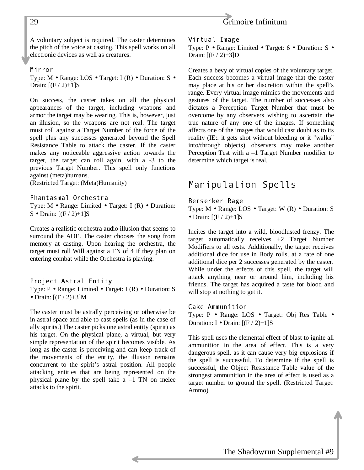A voluntary subject is required. The caster determines the pitch of the voice at casting. This spell works on all electronic devices as well as creatures.

#### Mirror

Type: M • Range: LOS • Target: I (R) • Duration: S • Drain:  $[(F / 2)+1]S$ 

On success, the caster takes on all the physical appearances of the target, including weapons and armor the target may be wearing. This is, however, just an illusion, so the weapons are not real. The target must roll against a Target Number of the force of the spell plus any successes generated beyond the Spell Resistance Table to attack the caster. If the caster makes any noticeable aggressive action towards the target, the target can roll again, with a -3 to the previous Target Number. This spell only functions against (meta)humans.

(Restricted Target: (Meta)Humanity)

Phantasmal Orchestra Type: M • Range: Limited • Target: I (R) • Duration: S • Drain:  $[(F / 2)+1]S$ 

Creates a realistic orchestra audio illusion that seems to surround the AOE. The caster chooses the song from memory at casting. Upon hearing the orchestra, the target must roll Will against a TN of 4 if they plan on entering combat while the Orchestra is playing.

#### Project Astral Entity

Type: P • Range: Limited • Target: I (R) • Duration: S • Drain:  $[(F / 2) + 3]M$ 

The caster must be astrally perceiving or otherwise be in astral space and able to cast spells (as in the case of ally spirits.) The caster picks one astral entity (spirit) as his target. On the physical plane, a virtual, but very simple representation of the spirit becomes visible. As long as the caster is perceiving and can keep track of the movements of the entity, the illusion remains concurrent to the spirit's astral position. All people attacking entities that are being represented on the physical plane by the spell take  $a -1$  TN on melee attacks to the spirit.

<span id="page-28-0"></span>29 Grimoire Infinitum

Virtual Image Type: P • Range: Limited • Target: 6 • Duration: S • Drain:  $[(F / 2) + 3]D$ 

Creates a bevy of virtual copies of the voluntary target. Each success becomes a virtual image that the caster may place at his or her discretion within the spell's range. Every virtual image mimics the movements and gestures of the target. The number of successes also dictates a Perception Target Number that must be overcome by any observers wishing to ascertain the true nature of any one of the images. If something affects one of the images that would cast doubt as to its reality (IE:. it gets shot without bleeding or it "walks" into/through objects), observers may make another Perception Test with a –1 Target Number modifier to determine which target is real.

### Manipulation Spells

Berserker Rage

Type: M • Range: LOS • Target: W (R) • Duration: S • Drain:  $[(F / 2)+1]S$ 

Incites the target into a wild, bloodlusted frenzy. The target automatically receives +2 Target Number Modifiers to all tests. Additionally, the target receives additional dice for use in Body rolls, at a rate of one additional dice per 2 successes generated by the caster. While under the effects of this spell, the target will attack anything near or around him, including his friends. The target has acquired a taste for blood and will stop at nothing to get it.

Cake Ammunition Type: P • Range: LOS • Target: Obj Res Table • Duration: I • Drain:  $[(F / 2)+1]S$ 

This spell uses the elemental effect of blast to ignite all ammunition in the area of effect. This is a very dangerous spell, as it can cause very big explosions if the spell is successful. To determine if the spell is successful, the Object Resistance Table value of the strongest ammunition in the area of effect is used as a target number to ground the spell. (Restricted Target: Ammo)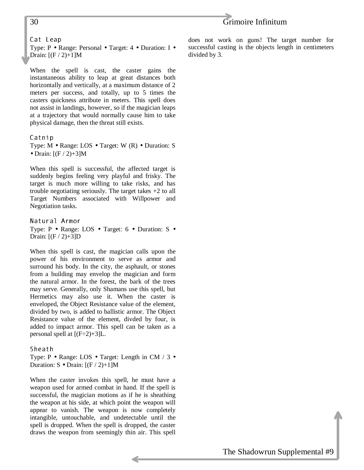### 30 Grimoire Infinitum

Cat Leap

Type: P • Range: Personal • Target: 4 • Duration: I • Drain:  $[(F / 2)+1]M$ 

When the spell is cast, the caster gains the instantaneous ability to leap at great distances both horizontally and vertically, at a maximum distance of 2 meters per success, and totally, up to 5 times the casters quickness attribute in meters. This spell does not assist in landings, however, so if the magician leaps at a trajectory that would normally cause him to take physical damage, then the threat still exists.

#### Catnip

Type: M • Range: LOS • Target: W (R) • Duration: S • Drain:  $[(F / 2) + 3]M$ 

When this spell is successful, the affected target is suddenly begins feeling very playful and frisky. The target is much more willing to take risks, and has trouble negotiating seriously. The target takes +2 to all Target Numbers associated with Willpower and Negotiation tasks.

Natural Armor Type: P • Range: LOS • Target: 6 • Duration: S • Drain:  $[(F / 2) + 3]D$ 

When this spell is cast, the magician calls upon the power of his environment to serve as armor and surround his body. In the city, the asphault, or stones from a building may envelop the magician and form the natural armor. In the forest, the bark of the trees may serve. Generally, only Shamans use this spell, but Hermetics may also use it. When the caster is enveloped, the Object Resistance value of the element, divided by two, is added to ballistic armor. The Object Resistance value of the element, divded by four, is added to impact armor. This spell can be taken as a personal spell at  $[(F-2)+3]L$ .

Sheath

Type: P • Range: LOS • Target: Length in CM / 3 • Duration:  $S \cdot \text{Drain: } [(F / 2) + 1]M$ 

When the caster invokes this spell, he must have a weapon used for armed combat in hand. If the spell is successful, the magician motions as if he is sheathing the weapon at his side, at which point the weapon will appear to vanish. The weapon is now completely intangible, untouchable, and undetectable until the spell is dropped. When the spell is dropped, the caster draws the weapon from seemingly thin air. This spell does not work on guns! The target number for successful casting is the objects length in centimeters divided by 3.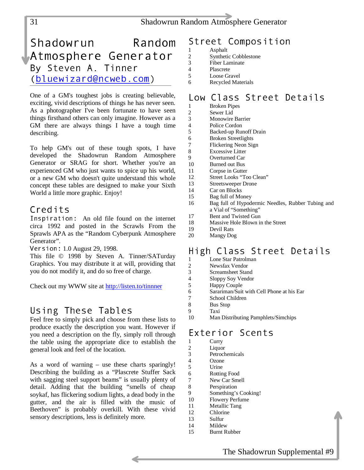#### <span id="page-30-0"></span>31 Shadowrun Random Atmosphere Generator

# Shadowrun Random Atmosphere Generator, By Steven A. Tinner (bluewizard@ncweb.com)

One of a GM's toughest jobs is creating believable, exciting, vivid descriptions of things he has never seen. As a photographer I've been fortunate to have seen things firsthand others can only imagine. However as a GM there are always things I have a tough time describing.

To help GM's out of these tough spots, I have developed the Shadowrun Random Atmosphere Generator or SRAG for short. Whether you're an experienced GM who just wants to spice up his world, or a new GM who doesn't quite understand this whole concept these tables are designed to make your Sixth World a little more graphic. Enjoy!

#### Credits

Inspiration: An old file found on the internet circa 1992 and posted in the Scrawls From the Sprawls APA as the "Random Cyberpunk Atmosphere Generator".

Version: 1.0 August 29, 1998.

This file © 1998 by Steven A. Tinner/SATurday Graphics. You may distribute it at will, providing that you do not modify it, and do so free of charge.

Check out my WWW site at <http://listen.to/tinnner>

### Using These Tables

Feel free to simply pick and choose from these lists to produce exactly the description you want. However if you need a description on the fly, simply roll through the table using the appropriate dice to establish the general look and feel of the location.

As a word of warning – use these charts sparingly! Describing the building as a "Plascrete Stuffer Sack with sagging steel support beams" is usually plenty of detail. Adding that the building "smells of cheap soykaf, has flickering sodium lights, a dead body in the gutter, and the air is filled with the music of Beethoven" is probably overkill. With these vivid sensory descriptions, less is definitely more.

### Street Composition

- 1 Asphalt<br>2 Synthetic
- 2 Synthetic Cobblestone<br>3 Fiber Laminate
- 3 Fiber Laminate Plascrete
- 5 Loose Gravel
- 6 Recycled Materials

# Low Class Street Details

- 1 Broken Pipes<br>2 Sewer Lid
- 2 Sewer Lid<br>3 Monowire
- Monowire Barrier 4 Police Cordon
- 5 Backed-up Runoff Drain
- 
- 6 Broken Streetlights<br>7 Flickering Neon Sig
- 7 Flickering Neon Sign<br>8 Excessive Litter
- 8 Excessive Litter<br>9 Overturned Car Overturned Car
- 10 Burned out Bus
- 11 Corpse in Gutter
- 12 Street Looks "Too Clean"
- 13 Streetsweeper Drone
- 14 Car on Blocks<br>15 Bag full of Mc
- Bag full of Money
- 16 Bag full of Hypodermic Needles, Rubber Tubing and a Vial of "Something"
- 17 Bent and Twisted Gun
- 18 Massive Hole Blown in the Street
- 19 Devil Rats
- 20 Mangy Dog

### High Class Street Details

- 1 Lone Star Patrolman<br>2 Newsfax Vendor
- 2 Newsfax Vendor<br>3 Screamsheet Stan
- 3 Screamsheet Stand
- 4 Sloppy Soy Vendor
- 5 Happy Couple
- 6 Sarariman/Suit with Cell Phone at his Ear
- 7 School Children
- 8 Bus Stop<br>9 Taxi
- 9 Taxi Man Distributing Pamphlets/Simchips

### Exterior Scents

- 1 Curry
- 2 Liquor
- 3 Petrochemicals
- 4 Ozone
- 5 Urine
- 6 Rotting Food<br>7 New Car Sme New Car Smell
- 8 Perspiration
- 9 Something's Cooking!
- 10 Flowery Perfume
- 11 Metallic Tang
- 12 Chlorine
- 13 Sulfur
- 14 Mildew
- 15 Burnt Rubber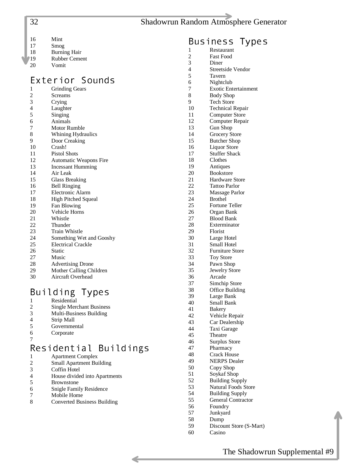| 32 | <b>Shadowrun Random Atmosphere Generator</b> |  |
|----|----------------------------------------------|--|
|    |                                              |  |

| 16 | Mint |
|----|------|
|    |      |

- 17 Smog
- 18 Burning Hair<br>
19 Rubber Ceme
- <sup>1</sup>19 Rubber Cement<br>20 Vomit
- 20 Vomit

# Exterior Sounds

- 1 Grinding Gears 2 Screams<br>3 Crying **Crying** 4 Laughter<br>5 Singing **Singing**
- 
- 6 Animals<br>7 Motor Ru **Motor Rumble**
- 8 Whining Hydraulics
- 9 Door Creaking
- 10 Crash!
- 11 Pistol Shots
- 12 Automatic Weapons Fire
- 13 Incessant Humming<br>14 Air Leak
- Air Leak
- 15 Glass Breaking
- 16 Bell Ringing
- 17 Electronic Alarm 18 High Pitched Squeal
- 
- 19 Fan Blowing<br>20 Vehicle Horn Vehicle Horns
- 21 Whistle
- 
- 22 Thunder<br>23 Train Wl **Train Whistle**
- 24 Something Wet and Gooshy
- 25 Electrical Crackle
- 26 Static
- 27 Music<br>28 Advert
- 28 Advertising Drone<br>29 Mother Calling Ch
- Mother Calling Children
- 30 Aircraft Overhead

# $\begin{array}{cc} \mathsf{B}{\mathsf{u}}\text{ }{\mathsf{i}}\text{ }{\mathsf{1}}\text{ }{\mathsf{d}}\text{ }{\mathsf{i}}\text{ }{\mathsf{n}}\text{ }{\mathsf{g}} \quad \text{ } \mathsf{Types} \ \mathsf{in} \ \mathsf{in} \ \mathsf{R}\text{ }{\mathsf{e}}\text{ }{\mathsf{s}}\text{ }{\mathsf{h}}\text{ }{\mathsf{f}}\text{ }{\mathsf{h}}\text{ }{\mathsf{g}}\text{ }{\mathsf{h}}\text{ }{\mathsf{g}}\text{ }{\mathsf{h}}\text{ }{\mathsf{g}}\text{ }{\mathsf{h}}\text$

1 Residential<br>2 Single Merc **Single Merchant Business** 3 Multi-Business Building Strip Mall 5 Governmental 6 Corporate 7

# Residential Buildings

- 1 Apartment Complex<br>2 Small Apartment Bu
- 2 Small Apartment Building
- Coffin Hotel
- 4 House divided into Apartments
- 5 Brownstone
- 6 Snigle Family Residence
- 7 Mobile Home<br>8 Converted Bus
- **Converted Business Building**
- $\begin{array}{ccc} \mathsf{Bus}\ \mathsf{iness}\ \mathsf{Types}\ \mathsf{1}\ \end{array}$ 1 Restaurant<br>2 Fast Food **Fast Food** 3 Diner Streetside Vendor 5 Tavern 6 Nightclub<br>7 Exotic Ent **Exotic Entertainment** 8 Body Shop<br>9 Tech Store Tech Store 10 Technical Repair 11 Computer Store<br>12 Computer Repair 12 Computer Repair<br>13 Gun Shop 13 Gun Shop<br>14 Grocery St 14 Grocery Store<br>15 Butcher Shop Butcher Shop 16 Liquor Store 17 Stuffer Shack 18 Clothes 19 Antiques<br>20 Bookstore 20 Bookstore<br>21 Hardware 21 Hardware Store<br>22 Tattoo Parlor 22 Tattoo Parlor<br>23 Massage Parl Massage Parlor 24 Brothel<br>25 Fortune 25 Fortune Teller<br>26 Organ Bank 26 Organ Bank 27 Blood Bank<br>28 Exterminato 28 Exterminator<br>29 Florist 29 Florist<br>30 Large 1 Large Hotel 31 Small Hotel<br>32 Furniture Ste Furniture Store 33 Toy Store<br>34 Pawn Sho
- 
- 34 Pawn Shop<br>35 Jewelry Sto Jewelry Store
- 36 Arcade<br>37 Simchin
- Simchip Store
- 38 Office Building
- 39 Large Bank
- 40 Small Bank **Bakery**
- 42 Vehicle Repair
- 43 Car Dealership
- 44 Taxi Garage
- 45 Theatre
- 46 Surplus Store
- 47 Pharmacy
- 48 Crack House<br>49 NERPS Deal
- 49 NERPS Dealer<br>50 Copy Shop
- Copy Shop
- 51 Soykaf Shop
- 52 Building Supply
- 53 Natural Foods Store
- 54 Building Supply
- 55 General Contractor
- 56 Foundry<br>57 Junkvard
- **Junkyard** 58 Dump
- 59 Discount Store (S-Mart)
- 60 Casino

<span id="page-31-0"></span>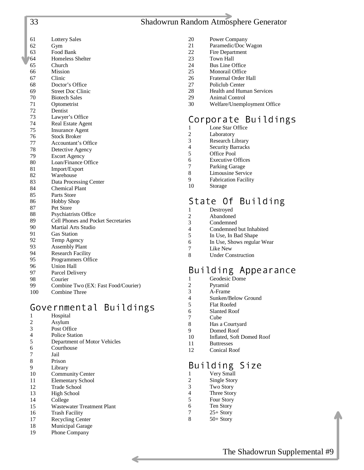#### 33 Shadowrun Random Atmosphere Generator

- <span id="page-32-0"></span>
- 61 Lottery Sales
- 62 Gym
- 63 Food Bank
- 64 Homeless Shelter
- 65 Church
- 66 Mission 67 Clinic
- 68 Doctor's Office
- 
- 69 Street Doc Clinic **Biotech Sales**
- 71 Optometrist
- 72 Dentist
- 73 Lawyer's Office
- 74 Real Estate Agent
- 75 Insurance Agent
- 76 Stock Broker
- 77 Accountant's Office
- 78 Detective Agency
- 79 Escort Agency
- 80 Loan/Finance Office
- 81 Import/Export
- 82 Warehouse
- 83 Data Processing Center
- 84 Chemical Plant
- 85 Parts Store
- 86 Hobby Shop
- 87 Pet Store
- 88 Psychiatrists Office
- 89 Cell Phones and Pocket Secretaries 90 Martial Arts Studio
- 91 Gas Station
- 
- 92 Temp Agency 93 Assembly Plant
- 94 Research Facility
- 95 Programmers Office
- 96 Union Hall
- 97 Parcel Delivery
- 98 Courier
- 99 Combine Two (EX: Fast Food/Courier)
- 100 Combine Three

### Governmental Buildings

- 1 Hospital
- 2 Asylum
- 3 Post Office
- 4 Police Station
- 5 Department of Motor Vehicles
- 6 Courthouse
- 7 Jail
- 8 Prison
- 9 Library
- 10 Community Center
- 11 Elementary School 12 Trade School
- 
- 13 High School<br>14 College **College**
- 15 Wastewater Treatment Plant
- 16 Trash Facility
- 17 Recycling Center
- 18 Municipal Garage
- 19 Phone Company
- 20 Power Company<br>21 Paramedic/Doc V
	- 21 Paramedic/Doc Wagon<br>22 Fire Department
	- 22 Fire Department<br>23 Town Hall
	- 23 Town Hall<br>24 Bus Line C
	- 24 Bus Line Office<br>25 Monorail Office
	- 25 Monorail Office<br>26 Fraternal Order I
	- 26 Fraternal Order Hall<br>27 Policlub Center
	- 27 Policlub Center<br>28 Health and Hum
	- 28 Health and Human Services<br>29 Animal Control
	- 29 Animal Control<br>30 Welfare/Unemp 30 Welfare/Unemployment Office

# Corporate Buildings<br>1 Lone Star Office

- 1 Lone Star Office<br>2 Laboratory
- 2 Laboratory<br>3 Research L
- Research Library
- 4 Security Barracks
- 5 Office Pool
- 6 Executive Offices
- 7 Parking Garage<br>8 Limousine Servi
- Limousine Service
- 9 Fabrication Facility<br>10 Storage
- **Storage**

# State Of Building<br><sup>1</sup> Destroved

- 1 Destroyed<br>2 Abandone
- 2 Abandoned<br>3 Condemned
- 3 Condemned
- Condemned but Inhabited
- 5 In Use, In Bad Shape
- 6 In Use, Shows regular Wear
- 7 Like New<br>8 Under Cou
- **Under Construction**

# Building Appearance

- 1 Geodesic Dome
- 2 Pyramid<br>3 A-Frame
- A-Frame
- 4 Sunken/Below Ground<br>5 Flat Roofed
- Flat Roofed
- 6 Slanted Roof
- **Cube**
- 8 Has a Courtyard
- 9 Domed Roof

12 Conical Roof

1 Very Small<br>2 Single Story 2 Single Story<br>3 Two Story **Two Story** 4 Three Story 5 Four Story 6 Ten Story 7 25+ Story 8 50+ Story

10 Inflated, Soft Domed Roof 11 Buttresses

Building Size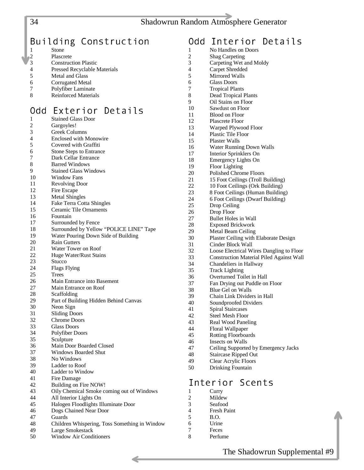# <span id="page-33-0"></span>Building Construction

|            | Stone                               |
|------------|-------------------------------------|
| $\sqrt{2}$ | Plascrete                           |
| 13         | <b>Construction Plastic</b>         |
| 4          | <b>Pressed Recyclable Materials</b> |
| 5          | Metal and Glass                     |

- 6 Corrugated Metal
- 7 Polyfiber Laminate
- 8 Reinforced Materials

# Add Exterior Details

| vu u | LA LEI IUI<br>レヒしはーレコ                         |
|------|-----------------------------------------------|
| 1    | <b>Stained Glass Door</b>                     |
| 2    | Gargoyles!                                    |
| 3    | Greek Columns                                 |
| 4    | <b>Enclosed with Monowire</b>                 |
| 5    | Covered with Graffiti                         |
| 6    | <b>Stone Steps to Entrance</b>                |
| 7    | Dark Cellar Entrance                          |
| 8    | <b>Barred Windows</b>                         |
| 9    | <b>Stained Glass Windows</b>                  |
| 10   | Window Fans                                   |
| 11   | <b>Revolving Door</b>                         |
| 12   | Fire Escape                                   |
| 13   |                                               |
| 14   | <b>Metal Shingles</b>                         |
|      | Fake Terra Cotta Shingles                     |
| 15   | Ceramic Tile Ornaments                        |
| 16   | Fountain                                      |
| 17   | Surrounded by Fence                           |
| 18   | Surrounded by Yellow "POLICE LINE" Tape       |
| 19   | Water Pouring Down Side of Building           |
| 20   | <b>Rain Gutters</b>                           |
| 21   | Water Tower on Roof                           |
| 22   | Huge Water/Rust Stains                        |
| 23   | Stucco                                        |
| 24   | <b>Flags Flying</b>                           |
| 25   | Trees                                         |
| 26   | Main Entrance into Basement                   |
| 27   | Main Entrance on Roof                         |
| 28   | Scaffolding                                   |
| 29   | Part of Building Hidden Behind Canvas         |
| 30   | Neon Sign                                     |
| 31   | <b>Sliding Doors</b>                          |
| 32   | Chrome Doors                                  |
| 33   | <b>Glass Doors</b>                            |
| 34   | Polyfiber Doors                               |
| 35   | Sculpture                                     |
| 36   | Main Door Boarded Closed                      |
| 37   | <b>Windows Boarded Shut</b>                   |
| 38   | No Windows                                    |
| 39   | Ladder to Roof                                |
| 40   | Ladder to Window                              |
| 41   | Fire Damage                                   |
| 42   | Building on Fire NOW!                         |
| 43   | Oily Chemical Smoke coming out of Windows     |
| 44   | All Interior Lights On                        |
|      |                                               |
| 45   | Halogen Floodlights Illuminate Door           |
| 46   | Dogs Chained Near Door                        |
| 47   | Guards                                        |
| 48   | Children Whispering, Toss Something in Window |
| 49   | Large Smokestack                              |
| 50   | Window Air Conditioners                       |

# Odd Interior Details<br> $\frac{1}{1}$  No Handles on Doors 1 No Handles on Doors<br>2 Shag Carpeting 2 Shag Carpeting<br>3 Carpeting Wet a 3 Carpeting Wet and Moldy<br>4 Carpet Shredded

- Carpet Shredded
- 5 Mirrored Walls
- 6 Glass Doors
- 7 Tropical Plants
- 8 Dead Tropical Plants
- 9 Oil Stains on Floor
- 10 Sawdust on Floor
- 11 Blood on Floor<br>12 Plascrete Floor
- 12 Plascrete Floor<br>13 Warped Plywoo
- 13 Warped Plywood Floor<br>14 Plastic Tile Floor
- 14 Plastic Tile Floor<br>15 Plaster Walls Plaster Walls
- 16 Water Running Down Walls
- 17 Interior Sprinklers On
- 18 Emergency Lights On
- 19 Floor Lighting<br>20 Polished Chron
- Polished Chrome Floors
- 21 15 Foot Ceilings (Troll Building)<br>22 10 Foot Ceilings (Ork Building)
- 22 10 Foot Ceilings (Ork Building)<br>23 8 Foot Ceilings (Human Building
- 23 8 Foot Ceilings (Human Building)
- 24 6 Foot Ceilings (Dwarf Building)<br>25 Drop Ceiling
- 25 Drop Ceiling<br>26 Drop Floor
- 26 Drop Floor<br>27 Bullet Hole
- Bullet Holes in Wall
- 28 Exposed Brickwork<br>29 Metal Beam Ceiling
- 29 Metal Beam Ceiling<br>30 Plaster Ceiling with
	- Plaster Ceiling with Elaborate Design
- 31 Cinder Block Wall<br>32 Loose Electrical W
- Loose Electrical Wires Dangling to Floor
- 33 Construction Material Piled Against Wall
- 34 Chandeliers in Hallway<br>35 Track Lighting
- Track Lighting
- 36 Overturned Toilet in Hall 37 Fan Drying out Puddle on Floor
- 38 Blue Gel on Walls
- 39 Chain Link Dividers in Hall
- 40 Soundproofed Dividers
- 41 Spiral Staircases
- 42 Steel Mesh Floor
- 43 Real Wood Paneling
- 44 Floral Wallpaper
- 45 Rotting Floorboards
- 46 Insects on Walls
- 47 Ceiling Supported by Emergency Jacks
- 48 Staircase Ripped Out
- 49 Clear Acrylic Floors<br>50 Drinking Fountain
- Drinking Fountain

### Interior Scents

- 1 Curry<br>2 Milde
- Mildew
- 3 Seafood
- **Fresh Paint**
- 5 B.O. 6 Urine
- 7 Feces
- 8 Perfume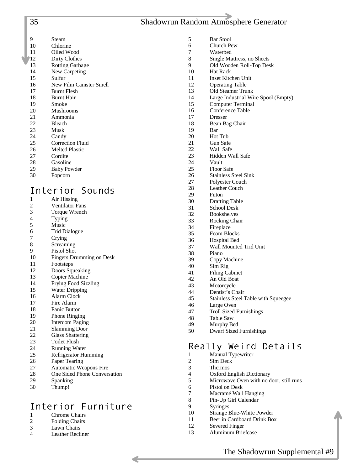<span id="page-34-0"></span>

| 35 |           |
|----|-----------|
| Q  | Steam     |
| 10 | Chlorine  |
| 11 | Oiled Wo  |
| 12 | Dirty Clo |
| 13 | Rotting O |

#### Wood  $\overline{\phantom{a}}$ **Clothes**

- 1g Garbage
- 14 New Carpeting
- 15 Sulfur
- 16 New Film Canister Smell
- 17 Burnt Flesh<br>18 Burnt Hair
- 18 Burnt Hair<br>19 Smoke
- 19 Smoke<br>20 Mushro
- **Mushrooms** 21 Ammonia
- 22 Bleach
- 23 Musk
- 24 Candy
- 25 Correction Fluid
- 26 Melted Plastic
- 27 Cordite
- 28 Gasoline
- 29 Baby Powder
- 30 Popcorn

# Interior Sounds<br>1 Air Hissing

- 1 Air Hissing<br>2 Ventilator F
- 2 Ventilator Fans<br>3 Torque Wrench
- 3 Torque Wrench
- 4 Typing<br>5 Music
- Music
- 6 Trid Dialogue
- 7 Crying 8 Screaming
- 9 Pistol Shot
- 10 Fingers Drumming on Desk
- 11 Footsteps
- 12 Doors Squeaking
- 13 Copier Machine
- 14 Frying Food Sizzling
- 15 Water Dripping
- 16 Alarm Clock
- 17 Fire Alarm
- 18 Panic Button
- 19 Phone Ringing
- 20 Intercom Paging
- 21 Slamming Door
- 22 Glass Shattering
- 23 Toilet Flush
- 24 Running Water
- 25 Refrigerator Humming
- 26 Paper Tearing
- 27 Automatic Weapons Fire
- 28 One Sided Phone Conversation
- 29 Spanking
- 30 Thump!

# Interior Furniture<br>1 Chrome Chairs

- 1 Chrome Chairs<br>2 Folding Chairs
- Folding Chairs
- 3 Lawn Chairs 4 Leather Recliner

5 Bar Stool

35 Shadowrun Random Atmosphere Generator

- 6 Church Pew
- 7 Waterbed<br>8 Single Ma
- 8 Single Mattress, no Sheets
- 9 Old Wooden Roll-Top Desk
- Hat Rack
- 11 Inset Kitchen Unit
- 12 Operating Table<br>13 Old Steamer Tru
- 13 Old Steamer Trunk<br>14 Large Industrial Wi
- 14 Large Industrial Wire Spool (Empty)<br>15 Computer Terminal
- 15 Computer Terminal<br>16 Conference Table Conference Table
- 17 Dresser
- 18 Bean Bag Chair
- 
- 19 Bar<br>20 Hot Hot Tub
- 21 Gun Safe
- 22 Wall Safe
- 23 Hidden Wall Safe
- Vault
- 25 Floor Safe
- 26 Stainless Steel Sink
- 27 Polyester Couch
- 28 Leather Couch
- 29 Futon
- 30 Drafting Table<br>31 School Desk
- School Desk
- 32 Bookshelves
- 33 Rocking Chair
- 34 Fireplace
- 35 Foam Blocks
- 36 Hospital Bed
- 37 Wall Mounted Trid Unit
- 38 Piano
- 39 Copy Machine
- 40 Sim Rig
- 41 Filing Cabinet
- 42 An Old Boat<br>43 Motorcycle
- Motorcycle
- 44 Dentist's Chair<br>45 Stainless Steel
	- Stainless Steel Table with Squeegee
- 46 Large Oven
- 47 Troll Sized Furnishings
- 48 Table Saw
- 49 Murphy Bed
- 50 Dwarf Sized Furnishings

### Really Weird Details

5 Microwave Oven with no door, still runs

The Shadowrun Supplemental #9

1 Manual Typewriter 2 Sim Deck<br>3 Thermos

**Thermos** 4 Oxford English Dictionary

7 Macramé Wall Hanging 8 Pin-Up Girl Calendar

10 Strange Blue-White Powder 11 Beer in Cardboard Drink Box

6 Pistol on Desk

12 Severed Finger 13 Aluminum Briefcase

9 Syringes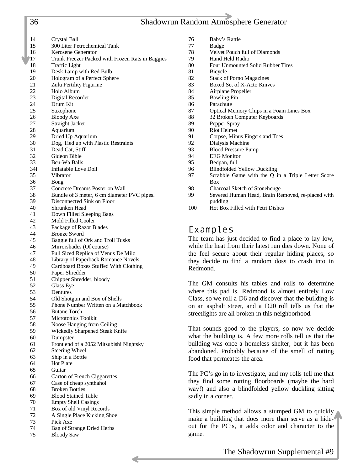#### <span id="page-35-0"></span>36 Shadowrun Random Atmosphere Generator

76 Baby's Rattle

14 Crystal Ball 15 300 Liter Petrochemical Tank 16 Kerosene Generator 17 Trunk Freezer Packed with Frozen Rats in Baggies 18 Traffic Light 19 Desk Lamp with Red Bulb 20 Hologram of a Perfect Sphere 21 Zulu Fertility Figurine 22 Holo Album<br>23 Digital Reco 23 Digital Recorder<br>24 Drum Kit Drum Kit 25 Saxophone 26 Bloody Axe 27 Straight Jacket 28 Aquarium 29 Dried Up Aquarium 30 Dog, Tied up with Plastic Restraints 31 Dead Cat, Stiff 32 Gideon Bible 33 Ben-Wa Balls 34I Inflatable Love Doll 35 Vibrator 36 Bong 37 Concrete Dreams Poster on Wall 38 Bundle of 3 meter, 6 cm diameter PVC pipes. 39 Disconnected Sink on Floor 40 Shrunken Head 41 Down Filled Sleeping Bags 42 Mold Filled Cooler 43 Package of Razor Blades 44 Bronze Sword 45 Baggie full of Ork and Troll Tusks 46 Mirrorshades (Of course) 47 Full Sized Replica of Venus De Milo 48 Library of Paperback Romance Novels 49 Cardboard Boxes Stuffed With Clothing 50 Paper Shredder 51 Chipper Shredder, bloody 52 Glass Eye 53 Dentures 54 Old Shotgun and Box of Shells 55 Phone Number Written on a Matchbook 56 Butane Torch 57 Microtonics Toolkit 58 Noose Hanging from Ceiling 59 Wickedly Sharpened Steak Knife 60 Dumpster 61 Front end of a 2052 Mitsubishi Nightsky 62 Steering Wheel 63 Ship in a Bottle 64 Hot Plate 65 Guitar 66 Carton of French Ciggarettes 67 Case of cheap synthahol 68 Broken Bottles 69 Blood Stained Table 70 Empty Shell Casings 71 Box of old Vinyl Records 72 A Single Place Kicking Shoe 73 Pick Axe 74 Bag of Strange Dried Herbs

75 Bloody Saw

| 77  | Badge                                             |
|-----|---------------------------------------------------|
| 78  | Velvet Pouch full of Diamonds                     |
| 79  | Hand Held Radio                                   |
| 80  | Four Unmounted Solid Rubber Tires                 |
| 81  | Bicycle                                           |
| 82  | <b>Stack of Porno Magazines</b>                   |
| 83  | Boxed Set of X-Acto Knives                        |
| 84  | Airplane Propeller                                |
| 85  | <b>Bowling Pin</b>                                |
| 86  | Parachute                                         |
| 87  | Optical Memory Chips in a Foam Lines Box          |
| 88  | 32 Broken Computer Keyboards                      |
| 89  | Pepper Spray                                      |
| 90  | Riot Helmet                                       |
| 91. | Corpse, Minus Fingers and Toes                    |
| 92  | Dialysis Machine                                  |
| 93  | <b>Blood Pressure Pump</b>                        |
| 94  | <b>EEG</b> Monitor                                |
| 95  | Bedpan, full                                      |
| 96  | <b>Blindfolded Yellow Duckling</b>                |
| 97  | Scrabble Game with the Q in a Triple Letter Score |
|     | Box                                               |
| 98  | Charcoal Sketch of Stonehenge                     |
| 99  | Severed Human Head, Brain Removed, re-placed with |
|     | pudding                                           |
| 100 | Hot Box Filled with Petri Dishes                  |

### Examples

The team has just decided to find a place to lay low, while the heat from their latest run dies down. None of the feel secure about their regular hiding places, so they decide to find a random doss to crash into in Redmond.

The GM consults his tables and rolls to determine where this pad is. Redmond is almost entirely Low Class, so we roll a D6 and discover that the building is on an asphalt street, and a D20 roll tells us that the streetlights are all broken in this neighborhood.

That sounds good to the players, so now we decide what the building is. A few more rolls tell us that the building was once a homeless shelter, but it has been abandoned. Probably because of the smell of rotting food that permeates the area.

The PC's go in to investigate, and my rolls tell me that they find some rotting floorboards (maybe the hard way!) and also a blindfolded yellow duckling sitting sadly in a corner.

This simple method allows a stumped GM to quickly make a building that does more than serve as a hideout for the PC's, it adds color and character to the game.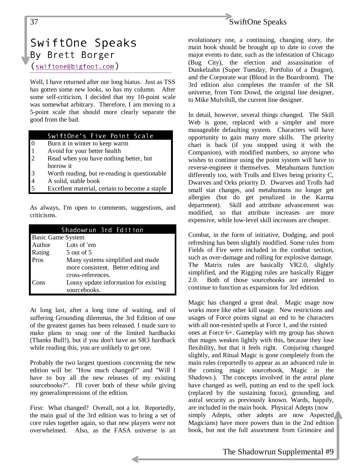<span id="page-36-0"></span>

# SwiftOne Speaks By Brett Borger  $(s$ wiftone@bigfoot.com)

Well, I have returned after our long hiatus. Just as TSS has gotten some new looks, so has my column. After some self-criticism, I decided that my 10-point scale was somewhat arbitrary. Therefore, I am moving to a 5-point scale that should more clearly separate the good from the bad.

#### SwiftOne's Five Point Scale

- 0 Burn it in winter to keep warm
- 1 Avoid for your better health
- 2 Read when you have nothing better, but borrow it
- 3 Worth reading, but re-reading is questionable
- 4 A solid, stable book
- Excellent material, certain to become a staple

As always, I'm open to comments, suggestions, and criticisms.

|                          | Shadowrun 3rd Edition                 |
|--------------------------|---------------------------------------|
| <b>Basic Game System</b> |                                       |
| Author                   | Lots of 'em                           |
| Rating                   | $5$ out of $5$                        |
| Pros                     | Many systems simplified and made      |
|                          | more consistent. Better editing and   |
|                          | cross-references.                     |
| Cons                     | Lousy update information for existing |
|                          | sourcebooks.                          |

At long last, after a long time of waiting, and of suffering Grounding dilemmas, the 3rd Edition of one of the greatest games has been released. I made sure to make plans to snag one of the limited hardbacks (Thanks Bull!), but if you don't have an SR3 hardback while reading this, you are unlikely to get one.

Probably the two largest questions concerning the new edition will be: "How much changed?" and "Will I have to buy all the new releases of my existing sourcebooks?". I'll cover both of these while giving my generalimpressions of the edition.

First: What changed? Overall, not a lot. Reportedly, the main goal of the 3rd edition was to bring a set of core rules together again, so that new players were not overwhelmed. Also, as the FASA universe is an evolutionary one, a continuing, changing story, the main book should be brought up to date to cover the major events to date, such as the infestation of Chicago (Bug City), the election and assassination of Dunkelzahn (Super Tuesday, Portfolio of a Dragon), and the Corporate war (Blood in the Boardroom). The 3rd edition also completes the transfer of the SR universe, from Tom Dowd, the original line designer, to Mike Mulvihill, the current line designer.

In detail, however, several things changed. The Skill Web is gone, replaced with a simpler and more manageable defaulting system. Characters will have opportunity to gain many more skills. The priority chart is back (if you stopped using it with the Companion), with modified numbers, so anyone who wishes to continue using the point system will have to reverse-engineer it themselves. Metahumans function differently too, with Trolls and Elves being priority C, Dwarves and Orks priority D. Dwarves and Trolls had small stat changes, and metahumans no longer get allergies (but do get penalized in the Karma department). Skill and attribute advancement was modified, so that attribute increases are more expensive, while low-level skill increases are cheaper.

Combat, in the form of initiative, Dodging, and pool refreshing has been slightly modified. Some rules from Fields of Fire were included in the combat section, such as over-damage and rolling for explosive damage. The Matrix rules are basically VR2.0, slightly simplified, and the Rigging rules are basically Rigger 2.0. Both of those sourcebooks are intended to continue to function as expansions for 3rd edition.

Magic has changed a great deal. Magic usage now works more like other kill usage. New restrictions and usages of Force points signal an end to he characters with all non-resisted spells at Force 1, and the rsisted ones at Force 6+. Gameplay with my group has shown that mages weaken lightly with this, because they lose flexibility, but that it feels right. Conjuring changed slightly, and Ritual Magic is gone completely from the main rules (reportedly to appear as an advanced rule in the coming magic sourcebook, Magic in the Shadows.). The concepts involved in the astral plane have changed as well, putting an end to the spell lock (replaced by the sustaining focus), grounding, and astral security as previously known. Wards, happily, are included in the main book. Physical Adepts (now simply Adepts, other adepts are now Aspected Magicians) have more powers than in the 2nd edition book, but not the full assortment from Grimoire and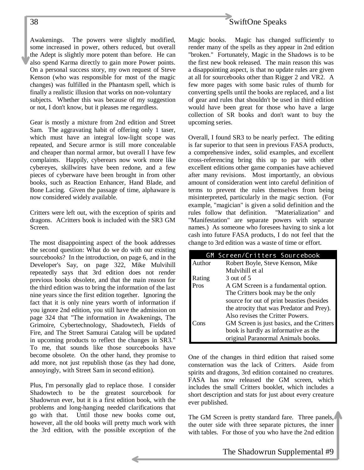

Gear is mostly a mixture from 2nd edition and Street Sam. The aggravating habit of offering only 1 taser, which must have an integral low-light scope was repeated, and Secure armor is still more concealable and cheaper than normal armor, but overall I have few complaints. Happily, cyberears now work more like cybereyes, skillwires have been redone, and a few pieces of cyberware have been brought in from other books, such as Reaction Enhancer, Hand Blade, and Bone Lacing. Given the passage of time, alphaware is now considered widely available.

Critters were left out, with the exception of spirits and dragons. ACritters book is included with the SR3 GM Screen.

The most disappointing aspect of the book addresses the second question: What do we do with our existing sourcebooks? In the introduction, on page 6, and in the Developer's Say, on page 322, Mike Mulvihill repeatedly says that 3rd edition does not render previous books obsolete, and that the main reason for the third edition was to bring the information of the last nine years since the first edition together. Ignoring the fact that it is only nine years worth of information if you ignore 2nd edition, you still have the admission on page 324 that "The information in Awakenings, The Grimoire, Cybertechnology, Shadowtech, Fields of Fire, and The Street Samurai Catalog will be updated in upcoming products to reflect the changes in SR3." To me, that sounds like those sourcebooks have become obsolete. On the other hand, they promise to add more, not just republish those (as they had done, annoyingly, with Street Sam in second edition).

Plus, I'm personally glad to replace those. I consider Shadowtech to be the greatest sourcebook for Shadowrun ever, but it is a first edition book, with the problems and long-hanging needed clarifications that go with that. Until those new books come out, however, all the old books will pretty much work with the 3rd edition, with the possible exception of the



Magic books. Magic has changed sufficiently to render many of the spells as they appear in 2nd edition "broken." Fortunately, Magic in the Shadows is to be the first new book released. The main reason this was a disappointing aspect, is that no update rules are given at all for sourcebooks other than Rigger 2 and VR2. A few more pages with some basic rules of thumb for converting spells until the books are replaced, and a list of gear and rules that shouldn't be used in third edition would have been great for those who have a large collection of SR books and don't want to buy the upcoming series.

Overall, I found SR3 to be nearly perfect. The editing is far superior to that seen in previous FASA products, a comprehensive index, solid examples, and excellent cross-referencing bring this up to par with other excellent editions other game companies have achieved after many revisions. Most importantly, an obvious amount of consideration went into careful definition of terms to prevent the rules themselves from being misinterpreted, particularly in the magic section. (For example, "magician" is given a solid definition and the rules follow that definition. "Materialization" and "Manifestation" are separate powers with separate names.) As someone who foresees having to sink a lot cash into future FASA products, I do not feel that the change to 3rd edition was a waste of time or effort.

|        | GM Screen/Critters Sourcebook              |
|--------|--------------------------------------------|
| Author | Robert Boyle, Steve Kenson, Mike           |
|        | Mulvihill et al                            |
| Rating | 3 out of 5                                 |
| Pros   | A GM Screen is a fundamental option.       |
|        | The Critters book may be the only          |
|        | source for out of print beasties (besides  |
|        | the atrocity that was Predator and Prey).  |
|        | Also revises the Critter Powers.           |
| Cons   | GM Screen is just basics, and the Critters |
|        | book is hardly as informative as the       |
|        | original Paranormal Animals books.         |

One of the changes in third edition that raised some consternation was the lack of Critters. Aside from spirits and dragons, 3rd edition contained no creatures. FASA has now released the GM screen, which includes the small Critters booklet, which includes a short description and stats for just about every creature ever published.

The GM Screen is pretty standard fare. Three panels, the outer side with three separate pictures, the inner with tables. For those of you who have the 2nd edition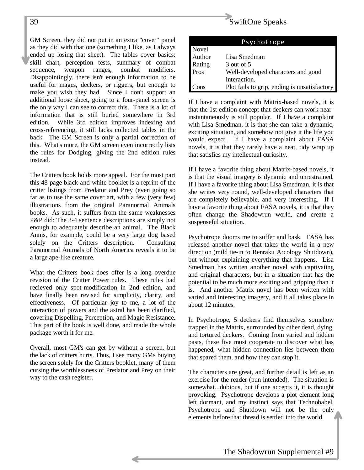GM Screen, they did not put in an extra "cover" panel as they did with that one (something I like, as I always ended up losing that sheet). The tables cover basics: skill chart, perception tests, summary of combat sequence, weapon ranges, combat modifiers. Disappointingly, there isn't enough information to be useful for mages, deckers, or riggers, but enough to make you wish they had. Since I don't support an additional loose sheet, going to a four-panel screen is the only way I can see to correct this. There is a lot of information that is still buried somewhere in 3rd edition. While 3rd edition improves indexing and cross-referencing, it still lacks collected tables in the back. The GM Screen is only a partial correction of this. What's more, the GM screen even incorrectly lists the rules for Dodging, giving the 2nd edition rules instead.

The Critters book holds more appeal. For the most part this 48 page black-and-white booklet is a reprint of the critter listings from Predator and Prey (even going so far as to use the same cover art, with a few (very few) illustrations from the original Paranormal Animals books. As such, it suffers from the same weaknesses P&P did: The 3-4 sentence descriptions are simply not enough to adequately describe an animal. The Black Annis, for example, could be a very large dog based solely on the Critters description. Consulting Paranormal Animals of North America reveals it to be a large ape-like creature.

What the Critters book does offer is a long overdue revision of the Critter Power rules. These rules had recieved only spot-modification in 2nd edition, and have finally been revised for simplicity, clarity, and effectiveness. Of particular joy to me, a lot of the interaction of powers and the astral has been clarified, covering Dispelling, Perception, and Magic Resistance. This part of the book is well done, and made the whole package worth it for me.

Overall, most GM's can get by without a screen, but the lack of critters hurts. Thus, I see many GMs buying the screen solely for the Critters booklet, many of them cursing the worthlessness of Predator and Prey on their way to the cash register.

# 39 SwiftOne Speaks

|               | Psychotrope                                  |
|---------------|----------------------------------------------|
| Novel         |                                              |
| Author        | Lisa Smedman                                 |
| Rating        | 3 out of 5                                   |
| Pros          | Well-developed characters and good           |
|               | interaction.                                 |
| $_{\rm Cons}$ | Plot fails to grip, ending is unsatisfactory |

If I have a complaint with Matrix-based novels, it is that the 1st edition concept that deckers can work nearinstantaneously is still popular. If I have a complaint with Lisa Smedman, it is that she can take a dynamic, exciting situation, and somehow not give it the life you would expect. If I have a complaint about FASA novels, it is that they rarely have a neat, tidy wrap up that satisfies my intellectual curiosity.

If I have a favorite thing about Matrix-based novels, it is that the visual imagery is dynamic and unrestrained. If I have a favorite thing about Lisa Smedman, it is that she writes very round, well-developed characters that are completely believable, and very interesting. If I have a favorite thing about FASA novels, it is that they often change the Shadowrun world, and create a suspenseful situation.

Psychotrope dooms me to suffer and bask. FASA has released another novel that takes the world in a new direction (mild tie-in to Renraku Arcology Shutdown), but without explaining everything that happens. Lisa Smedman has written another novel with captivating and original characters, but in a situation that has the potential to be much more exciting and gripping than it is. And another Matrix novel has been written with varied and interesting imagery, and it all takes place in about 12 minutes.

In Psychotrope, 5 deckers find themselves somehow trapped in the Matrix, surrounded by other dead, dying, and tortured deckers. Coming from varied and hidden pasts, these five must cooperate to discover what has happened, what hidden connection lies between them that spared them, and how they can stop it.

The characters are great, and further detail is left as an exercise for the reader (pun intended). The situation is somewhat...dubious, but if one accepts it, it is thought provoking. Psychotrope develops a plot element long left dormant, and my instinct says that Technobabel, Psychotrope and Shutdown will not be the only elements before that thread is settled into the world.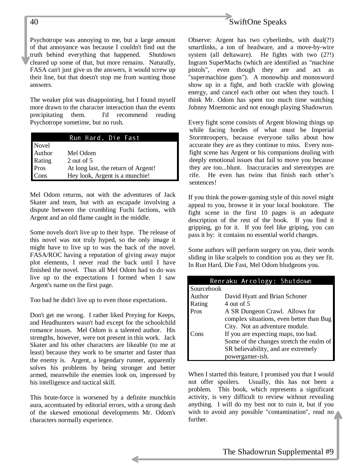Psychotrope was annoying to me, but a large amount of that annoyance was because I couldn't find out the truth behind everything that happened. Shutdown cleared up some of that, but more remains. Naturally, FASA can't just give us the answers, it would screw up their line, but that doesn't stop me from wanting those answers.

The weaker plot was disappointing, but I found myself more drawn to the character interaction than the events precipitating them. I'd recommend reading Psychotrope sometime, but no rush.

|        | Run Hard, Die Fast                  |
|--------|-------------------------------------|
| Novel  |                                     |
| Author | Mel Odom                            |
| Rating | 2 out of 5                          |
| Pros   | At long last, the return of Argent! |
| Cons   | Hey look, Argent is a munchie!      |

Mel Odom returns, not with the adventures of Jack Skater and team, but with an escapade involving a dispute between the crumbling Fuchi factions, with Argent and an old flame caught in the middle.

Some novels don't live up to their hype. The release of this novel was not truly hyped, so the only image it might have to live up to was the back of the novel. FASA/ROC having a reputation of giving away major plot elements, I never read the back until I have finished the novel. Thus all Mel Odom had to do was live up to the expectations I formed when I saw Argent's name on the first page.

Too bad he didn't live up to even those expectations.

Don't get me wrong. I rather liked Preying for Keeps, and Headhunters wasn't bad except for the schoolchild romance issues. Mel Odom is a talented author. His strengths, however, were not present in this work. Jack Skater and his other characters are likeable (to me at least) because they work to be smarter and faster than the enemy is. Argent, a legendary runner, apparently solves his problems by being stronger and better armed, meanwhile the enemies look on, impressed by his intelligence and tactical skill.

This brute-force is worsened by a definite munchkin aura, accentuated by editorial errors, with a strong dash of the skewed emotional developments Mr. Odom's characters normally experience.



Observe: Argent has two cyberlimbs, with dual(?!) smartlinks, a ton of headware, and a move-by-wire system (all deltaware). He fights with two (2?!) Ingram SuperMachs (which are identified as "machine pistols", even though they are and act as "supermachine guns"). A monowhip and monosword show up in a fight, and both crackle with glowing energy, and cancel each other out when they touch. I think Mr. Odom has spent too much time watching Johnny Mnemonic and not enough playing Shadowrun.

Every fight scene consists of Argent blowing things up while facing hordes of what must be Imperial Stormtroopers, because everyone talks about how accurate they are as they continue to miss. Every nonfight scene has Argent or his companions dealing with deeply emotional issues that fail to move you because they are too...blunt. Inaccuracies and stereotypes are rife. He even has twins that finish each other's sentences!

If you think the power-gaming style of this novel might appeal to you, browse it in your local bookstore. The fight scene in the first 10 pages is an adequate description of the rest of the book. If you find it gripping, go for it. If you feel like griping, you can pass it by: it contains no essential world changes.

Some authors will perform surgery on you, their words sliding in like scalpels to condition you as they see fit. In Run Hard, Die Fast, Mel Odom bludgeons you.

|            | Renraku Arcology: Shutdown               |
|------------|------------------------------------------|
| Sourcebook |                                          |
| Author     | David Hyatt and Brian Schoner            |
| Rating     | 4 out of 5                               |
| Pros       | A SR Dungeon Crawl. Allows for           |
|            | complex situations, even better than Bug |
|            | City. Not an adventure module.           |
| `ons       | If you are expecting maps, too bad.      |
|            | Some of the changes stretch the realm of |
|            | SR believability, and are extremely      |
|            | powergamer-ish.                          |

When I started this feature, I promised you that I would not offer spoilers. Usually, this has not been a problem. This book, which represents a significant activity, is very difficult to review without revealing anything. I will do my best not to ruin it, but if you wish to avoid any possible "contamination", read no further.